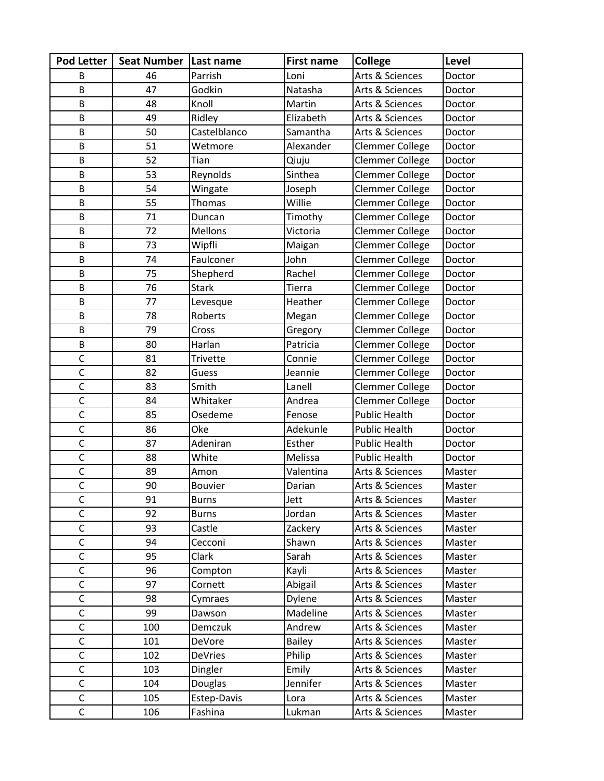| <b>Pod Letter</b> | Seat Number   Last name |                | <b>First name</b> | <b>College</b>         | Level  |
|-------------------|-------------------------|----------------|-------------------|------------------------|--------|
| В                 | 46                      | Parrish        | Loni              | Arts & Sciences        | Doctor |
| B                 | 47                      | Godkin         | Natasha           | Arts & Sciences        | Doctor |
| B                 | 48                      | Knoll          | Martin            | Arts & Sciences        | Doctor |
| B                 | 49                      | Ridley         | Elizabeth         | Arts & Sciences        | Doctor |
| B                 | 50                      | Castelblanco   | Samantha          | Arts & Sciences        | Doctor |
| В                 | 51                      | Wetmore        | Alexander         | Clemmer College        | Doctor |
| B                 | 52                      | Tian           | Qiuju             | <b>Clemmer College</b> | Doctor |
| B                 | 53                      | Reynolds       | Sinthea           | Clemmer College        | Doctor |
| B                 | 54                      | Wingate        | Joseph            | <b>Clemmer College</b> | Doctor |
| B                 | 55                      | <b>Thomas</b>  | Willie            | Clemmer College        | Doctor |
| B                 | 71                      | Duncan         | Timothy           | <b>Clemmer College</b> | Doctor |
| B                 | 72                      | <b>Mellons</b> | Victoria          | Clemmer College        | Doctor |
| B                 | 73                      | Wipfli         | Maigan            | Clemmer College        | Doctor |
| B                 | 74                      | Faulconer      | John              | Clemmer College        | Doctor |
| B                 | 75                      | Shepherd       | Rachel            | <b>Clemmer College</b> | Doctor |
| B                 | 76                      | <b>Stark</b>   | Tierra            | <b>Clemmer College</b> | Doctor |
| B                 | 77                      | Levesque       | Heather           | <b>Clemmer College</b> | Doctor |
| B                 | 78                      | Roberts        | Megan             | Clemmer College        | Doctor |
| B                 | 79                      | Cross          | Gregory           | <b>Clemmer College</b> | Doctor |
| B                 | 80                      | Harlan         | Patricia          | Clemmer College        | Doctor |
| $\mathsf{C}$      | 81                      | Trivette       | Connie            | <b>Clemmer College</b> | Doctor |
| $\mathsf{C}$      | 82                      | Guess          | Jeannie           | <b>Clemmer College</b> | Doctor |
| $\mathsf{C}$      | 83                      | Smith          | Lanell            | Clemmer College        | Doctor |
| $\mathsf{C}$      | 84                      | Whitaker       | Andrea            | <b>Clemmer College</b> | Doctor |
| $\overline{C}$    | 85                      | Osedeme        | Fenose            | <b>Public Health</b>   | Doctor |
| $\mathsf{C}$      | 86                      | Oke            | Adekunle          | <b>Public Health</b>   | Doctor |
| $\mathsf{C}$      | 87                      | Adeniran       | Esther            | <b>Public Health</b>   | Doctor |
| $\mathsf C$       | 88                      | White          | Melissa           | <b>Public Health</b>   | Doctor |
| $\mathsf{C}$      | 89                      | Amon           | Valentina         | Arts & Sciences        | Master |
| $\mathsf{C}$      | 90                      | <b>Bouvier</b> | Darian            | Arts & Sciences        | Master |
| C                 | 91                      | <b>Burns</b>   | Jett              | Arts & Sciences        | Master |
| $\mathsf{C}$      | 92                      | <b>Burns</b>   | Jordan            | Arts & Sciences        | Master |
| $\mathsf{C}$      | 93                      | Castle         | Zackery           | Arts & Sciences        | Master |
| $\mathsf{C}$      | 94                      | Cecconi        | Shawn             | Arts & Sciences        | Master |
| $\mathsf C$       | 95                      | Clark          | Sarah             | Arts & Sciences        | Master |
| $\mathsf{C}$      | 96                      | Compton        | Kayli             | Arts & Sciences        | Master |
| $\mathsf{C}$      | 97                      | Cornett        | Abigail           | Arts & Sciences        | Master |
| $\mathsf C$       | 98                      | Cymraes        | Dylene            | Arts & Sciences        | Master |
| $\mathsf{C}$      | 99                      | Dawson         | Madeline          | Arts & Sciences        | Master |
| $\mathsf{C}$      | 100                     | Demczuk        | Andrew            | Arts & Sciences        | Master |
| $\mathsf C$       | 101                     | DeVore         | <b>Bailey</b>     | Arts & Sciences        | Master |
| $\mathsf C$       | 102                     | <b>DeVries</b> | Philip            | Arts & Sciences        | Master |
| $\overline{C}$    | 103                     | Dingler        | Emily             | Arts & Sciences        | Master |
| $\mathsf C$       | 104                     | Douglas        | Jennifer          | Arts & Sciences        | Master |
| $\mathsf{C}$      | 105                     | Estep-Davis    | Lora              | Arts & Sciences        | Master |
| $\mathsf C$       | 106                     | Fashina        | Lukman            | Arts & Sciences        | Master |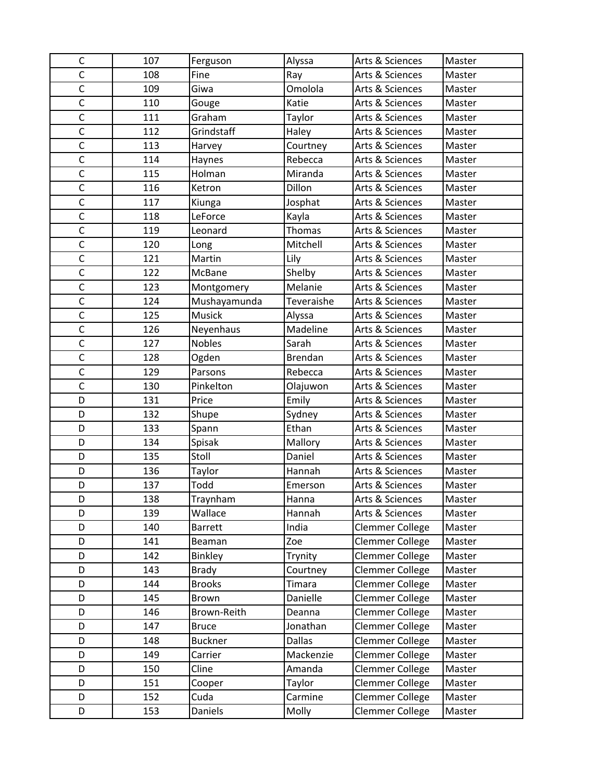| C              | 107 | Ferguson       | Alyssa         | Arts & Sciences | Master |
|----------------|-----|----------------|----------------|-----------------|--------|
| $\mathsf{C}$   | 108 | Fine           | Ray            | Arts & Sciences | Master |
| $\mathsf{C}$   | 109 | Giwa           | Omolola        | Arts & Sciences | Master |
| $\mathsf{C}$   | 110 | Gouge          | Katie          | Arts & Sciences | Master |
| $\mathsf{C}$   | 111 | Graham         | Taylor         | Arts & Sciences | Master |
| $\overline{C}$ | 112 | Grindstaff     | Haley          | Arts & Sciences | Master |
| $\mathsf{C}$   | 113 | Harvey         | Courtney       | Arts & Sciences | Master |
| $\mathsf{C}$   | 114 | Haynes         | Rebecca        | Arts & Sciences | Master |
| $\mathsf{C}$   | 115 | Holman         | Miranda        | Arts & Sciences | Master |
| $\mathsf{C}$   | 116 | Ketron         | Dillon         | Arts & Sciences | Master |
| $\overline{C}$ | 117 | Kiunga         | Josphat        | Arts & Sciences | Master |
| $\mathsf{C}$   | 118 | LeForce        | Kayla          | Arts & Sciences | Master |
| $\mathsf{C}$   | 119 | Leonard        | Thomas         | Arts & Sciences | Master |
| $\mathsf{C}$   | 120 | Long           | Mitchell       | Arts & Sciences | Master |
| $\mathsf{C}$   | 121 | Martin         | Lily           | Arts & Sciences | Master |
| $\mathsf{C}$   | 122 | McBane         | Shelby         | Arts & Sciences | Master |
| $\mathsf{C}$   | 123 | Montgomery     | Melanie        | Arts & Sciences | Master |
| $\mathsf{C}$   | 124 | Mushayamunda   | Teveraishe     | Arts & Sciences | Master |
| $\mathsf C$    | 125 | Musick         | Alyssa         | Arts & Sciences | Master |
| $\mathsf{C}$   | 126 | Neyenhaus      | Madeline       | Arts & Sciences | Master |
| $\mathsf{C}$   | 127 | <b>Nobles</b>  | Sarah          | Arts & Sciences | Master |
| $\mathsf{C}$   | 128 | Ogden          | <b>Brendan</b> | Arts & Sciences | Master |
| $\mathsf{C}$   | 129 | Parsons        | Rebecca        | Arts & Sciences | Master |
| $\overline{C}$ | 130 | Pinkelton      | Olajuwon       | Arts & Sciences | Master |
| D              | 131 | Price          | Emily          | Arts & Sciences | Master |
| D              | 132 | Shupe          | Sydney         | Arts & Sciences | Master |
| D              | 133 | Spann          | Ethan          | Arts & Sciences | Master |
| D              | 134 | Spisak         | Mallory        | Arts & Sciences | Master |
| D              | 135 | Stoll          | Daniel         | Arts & Sciences | Master |
| D              | 136 | Taylor         | Hannah         | Arts & Sciences | Master |
| D              | 137 | Todd           | Emerson        | Arts & Sciences | Master |
| D              | 138 | Traynham       | Hanna          | Arts & Sciences | Master |
| D              | 139 | Wallace        | Hannah         | Arts & Sciences | Master |
| D              | 140 | <b>Barrett</b> | India          | Clemmer College | Master |
| D              | 141 | Beaman         | Zoe            | Clemmer College | Master |
| D              | 142 | <b>Binkley</b> | Trynity        | Clemmer College | Master |
| D              | 143 | <b>Brady</b>   | Courtney       | Clemmer College | Master |
| D              | 144 | <b>Brooks</b>  | Timara         | Clemmer College | Master |
| D              | 145 | Brown          | Danielle       | Clemmer College | Master |
| D              | 146 | Brown-Reith    | Deanna         | Clemmer College | Master |
| D              | 147 | <b>Bruce</b>   | Jonathan       | Clemmer College | Master |
| D              | 148 | <b>Buckner</b> | <b>Dallas</b>  | Clemmer College | Master |
| D              | 149 | Carrier        | Mackenzie      | Clemmer College | Master |
| D              | 150 | Cline          | Amanda         | Clemmer College | Master |
| D              | 151 | Cooper         | Taylor         | Clemmer College | Master |
| D              | 152 | Cuda           | Carmine        | Clemmer College | Master |
| D              | 153 | Daniels        | Molly          | Clemmer College | Master |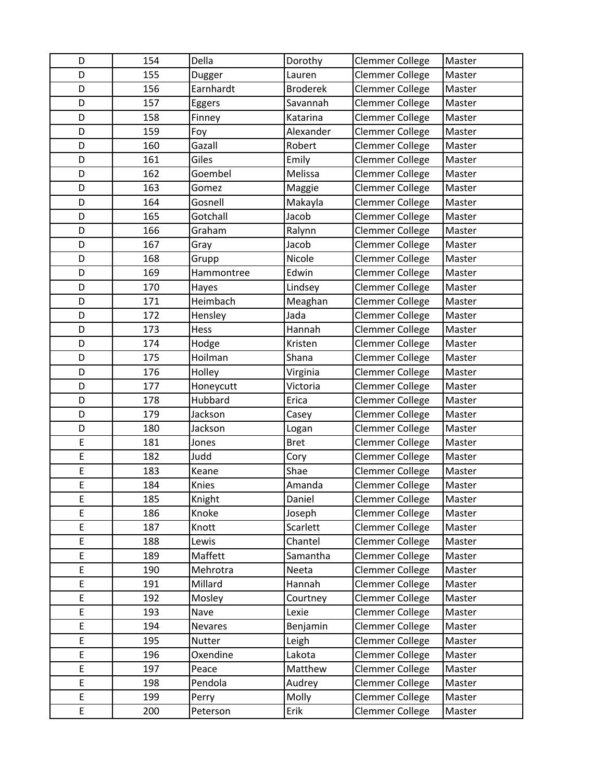| D      | 154        | Della              | Dorothy         | Clemmer College                    | Master           |
|--------|------------|--------------------|-----------------|------------------------------------|------------------|
| D      | 155        | Dugger             | Lauren          | Clemmer College                    | Master           |
| D      | 156        | Earnhardt          | <b>Broderek</b> | Clemmer College                    | Master           |
| D      | 157        | Eggers             | Savannah        | Clemmer College                    | Master           |
| D      | 158        | Finney             | Katarina        | Clemmer College                    | Master           |
| D      | 159        | Foy                | Alexander       | Clemmer College                    | Master           |
| D      | 160        | Gazall             | Robert          | Clemmer College                    | Master           |
| D      | 161        | Giles              | Emily           | Clemmer College                    | Master           |
| D      | 162        | Goembel            | Melissa         | Clemmer College                    | Master           |
| D      | 163        | Gomez              | Maggie          | Clemmer College                    | Master           |
| D      | 164        | Gosnell            | Makayla         | Clemmer College                    | Master           |
| D      | 165        | Gotchall           | Jacob           | Clemmer College                    | Master           |
| D      | 166        | Graham             | Ralynn          | Clemmer College                    | Master           |
| D      | 167        | Gray               | Jacob           | Clemmer College                    | Master           |
| D      | 168        | Grupp              | Nicole          | Clemmer College                    | Master           |
| D      | 169        | Hammontree         | Edwin           | Clemmer College                    | Master           |
| D      | 170        | Hayes              | Lindsey         | Clemmer College                    | Master           |
| D      | 171        | Heimbach           | Meaghan         | Clemmer College                    | Master           |
| D      | 172        | Hensley            | Jada            | Clemmer College                    | Master           |
| D      | 173        | Hess               | Hannah          | Clemmer College                    | Master           |
| D      | 174        | Hodge              | Kristen         | Clemmer College                    | Master           |
| D      | 175        | Hoilman            | Shana           | Clemmer College                    | Master           |
| D      | 176        | Holley             | Virginia        | Clemmer College                    | Master           |
| D      | 177        | Honeycutt          | Victoria        | Clemmer College                    | Master           |
| D      | 178        | Hubbard            | Erica           | Clemmer College                    | Master           |
| D      | 179        | Jackson            | Casey           | Clemmer College                    | Master           |
| D      | 180        | Jackson            | Logan           | Clemmer College                    | Master           |
| E      | 181        | Jones              | <b>Bret</b>     | <b>Clemmer College</b>             | Master           |
| E      | 182        | Judd               | Cory            | Clemmer College                    | Master           |
| E      | 183        | Keane              | Shae            | Clemmer College                    | Master           |
| E      | 184        | Knies              | Amanda          | Clemmer College                    | Master           |
| Ε      | 185        | Knight             | Daniel          | <b>Clemmer College</b>             | Master           |
| E      | 186        | Knoke              | Joseph          | Clemmer College                    | Master           |
| E      | 187        | Knott              | Scarlett        | Clemmer College                    | Master           |
| E      | 188        | Lewis              | Chantel         | Clemmer College                    | Master           |
| E      | 189        | Maffett            | Samantha        | Clemmer College                    | Master           |
| E      | 190        | Mehrotra           | Neeta           | Clemmer College                    | Master           |
| E      | 191        | Millard            | Hannah          | Clemmer College                    | Master           |
| E      | 192        | Mosley             | Courtney        | Clemmer College                    | Master           |
| E      | 193        | Nave<br>Nevares    | Lexie           | Clemmer College                    | Master           |
| E<br>E | 194        |                    | Benjamin        | Clemmer College                    | Master           |
| E      | 195<br>196 | Nutter<br>Oxendine | Leigh<br>Lakota | Clemmer College<br>Clemmer College | Master<br>Master |
| E      | 197        | Peace              | Matthew         | Clemmer College                    | Master           |
| E      | 198        | Pendola            | Audrey          | Clemmer College                    | Master           |
| E      | 199        |                    |                 | Clemmer College                    |                  |
| E      |            | Perry              | Molly           |                                    | Master           |
|        | 200        | Peterson           | Erik            | Clemmer College                    | Master           |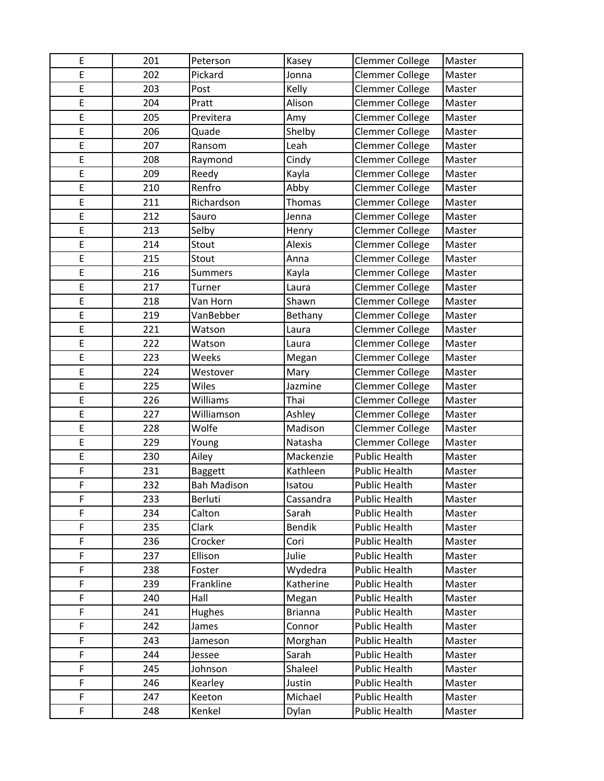| E | 201 | Peterson           | Kasey          | Clemmer College        | Master |
|---|-----|--------------------|----------------|------------------------|--------|
| E | 202 | Pickard            | Jonna          | Clemmer College        | Master |
| E | 203 | Post               | Kelly          | <b>Clemmer College</b> | Master |
| E | 204 | Pratt              | Alison         | Clemmer College        | Master |
| E | 205 | Previtera          | Amy            | Clemmer College        | Master |
| E | 206 | Quade              | Shelby         | Clemmer College        | Master |
| E | 207 | Ransom             | Leah           | Clemmer College        | Master |
| E | 208 | Raymond            | Cindy          | <b>Clemmer College</b> | Master |
| E | 209 | Reedy              | Kayla          | Clemmer College        | Master |
| E | 210 | Renfro             | Abby           | Clemmer College        | Master |
| E | 211 | Richardson         | Thomas         | <b>Clemmer College</b> | Master |
| E | 212 | Sauro              | Jenna          | Clemmer College        | Master |
| E | 213 | Selby              | Henry          | <b>Clemmer College</b> | Master |
| E | 214 | Stout              | Alexis         | Clemmer College        | Master |
| E | 215 | Stout              | Anna           | Clemmer College        | Master |
| E | 216 | <b>Summers</b>     | Kayla          | Clemmer College        | Master |
| E | 217 | Turner             | Laura          | Clemmer College        | Master |
| E | 218 | Van Horn           | Shawn          | <b>Clemmer College</b> | Master |
| E | 219 | VanBebber          | Bethany        | Clemmer College        | Master |
| E | 221 | Watson             | Laura          | Clemmer College        | Master |
| E | 222 | Watson             | Laura          | Clemmer College        | Master |
| E | 223 | Weeks              | Megan          | Clemmer College        | Master |
| E | 224 | Westover           | Mary           | <b>Clemmer College</b> | Master |
| E | 225 | Wiles              | Jazmine        | Clemmer College        | Master |
| E | 226 | Williams           | Thai           | <b>Clemmer College</b> | Master |
| E | 227 | Williamson         | Ashley         | Clemmer College        | Master |
| E | 228 | Wolfe              | Madison        | Clemmer College        | Master |
| E | 229 | Young              | Natasha        | <b>Clemmer College</b> | Master |
| E | 230 | Ailey              | Mackenzie      | <b>Public Health</b>   | Master |
| F | 231 | <b>Baggett</b>     | Kathleen       | <b>Public Health</b>   | Master |
| F | 232 | <b>Bah Madison</b> | Isatou         | <b>Public Health</b>   | Master |
| F | 233 | <b>Berluti</b>     | Cassandra      | <b>Public Health</b>   | Master |
| F | 234 | Calton             | Sarah          | <b>Public Health</b>   | Master |
| F | 235 | Clark              | Bendik         | <b>Public Health</b>   | Master |
| F | 236 | Crocker            | Cori           | Public Health          | Master |
| F | 237 | Ellison            | Julie          | <b>Public Health</b>   | Master |
| F | 238 | Foster             | Wydedra        | <b>Public Health</b>   | Master |
| F | 239 | Frankline          | Katherine      | <b>Public Health</b>   | Master |
| F | 240 | Hall               | Megan          | <b>Public Health</b>   | Master |
| F | 241 | Hughes             | <b>Brianna</b> | <b>Public Health</b>   | Master |
| F | 242 | James              | Connor         | <b>Public Health</b>   | Master |
| F | 243 | Jameson            | Morghan        | <b>Public Health</b>   | Master |
| F | 244 | Jessee             | Sarah          | <b>Public Health</b>   | Master |
| F | 245 | Johnson            | Shaleel        | <b>Public Health</b>   | Master |
| F | 246 | Kearley            | Justin         | <b>Public Health</b>   | Master |
| F | 247 | Keeton             | Michael        | <b>Public Health</b>   | Master |
| F | 248 | Kenkel             | Dylan          | Public Health          | Master |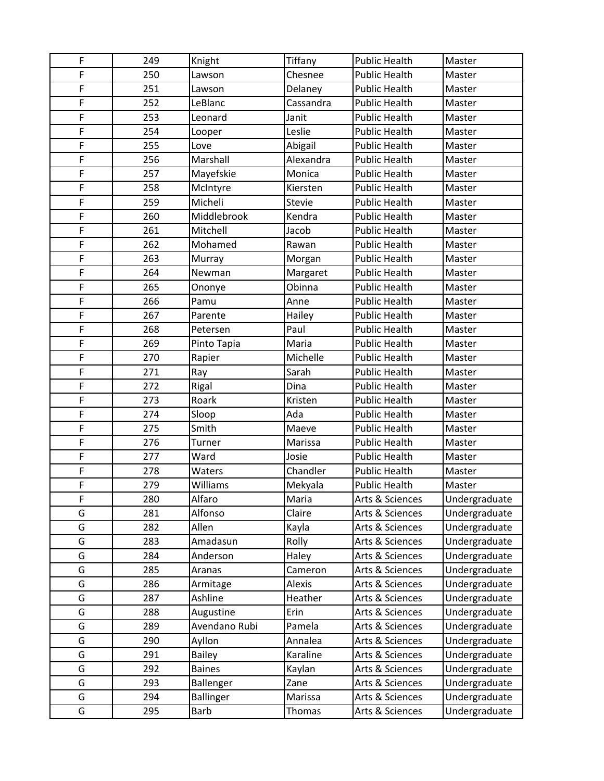| F | 249 | Knight        | Tiffany   | <b>Public Health</b> | Master        |
|---|-----|---------------|-----------|----------------------|---------------|
| F | 250 | Lawson        | Chesnee   | <b>Public Health</b> | Master        |
| F | 251 | Lawson        | Delaney   | <b>Public Health</b> | Master        |
| F | 252 | LeBlanc       | Cassandra | <b>Public Health</b> | Master        |
| F | 253 | Leonard       | Janit     | <b>Public Health</b> | Master        |
| F | 254 | Looper        | Leslie    | <b>Public Health</b> | Master        |
| F | 255 | Love          | Abigail   | <b>Public Health</b> | Master        |
| F | 256 | Marshall      | Alexandra | <b>Public Health</b> | Master        |
| F | 257 | Mayefskie     | Monica    | <b>Public Health</b> | Master        |
| F | 258 | McIntyre      | Kiersten  | <b>Public Health</b> | Master        |
| F | 259 | Micheli       | Stevie    | <b>Public Health</b> | Master        |
| F | 260 | Middlebrook   | Kendra    | <b>Public Health</b> | Master        |
| F | 261 | Mitchell      | Jacob     | <b>Public Health</b> | Master        |
| F | 262 | Mohamed       | Rawan     | <b>Public Health</b> | Master        |
| F | 263 | Murray        | Morgan    | <b>Public Health</b> | Master        |
| F | 264 | Newman        | Margaret  | <b>Public Health</b> | Master        |
| F | 265 | Ononye        | Obinna    | <b>Public Health</b> | Master        |
| F | 266 | Pamu          | Anne      | <b>Public Health</b> | Master        |
| F | 267 | Parente       | Hailey    | <b>Public Health</b> | Master        |
| F | 268 | Petersen      | Paul      | <b>Public Health</b> | Master        |
| F | 269 | Pinto Tapia   | Maria     | <b>Public Health</b> | Master        |
| F | 270 | Rapier        | Michelle  | <b>Public Health</b> | Master        |
| F | 271 | Ray           | Sarah     | <b>Public Health</b> | Master        |
| F | 272 | Rigal         | Dina      | <b>Public Health</b> | Master        |
| F | 273 | Roark         | Kristen   | <b>Public Health</b> | Master        |
| F | 274 | Sloop         | Ada       | <b>Public Health</b> | Master        |
| F | 275 | Smith         | Maeve     | <b>Public Health</b> | Master        |
| F | 276 | Turner        | Marissa   | <b>Public Health</b> | Master        |
| F | 277 | Ward          | Josie     | <b>Public Health</b> | Master        |
| F | 278 | Waters        | Chandler  | <b>Public Health</b> | Master        |
| F | 279 | Williams      | Mekyala   | <b>Public Health</b> | Master        |
| F | 280 | Alfaro        | Maria     | Arts & Sciences      | Undergraduate |
| G | 281 | Alfonso       | Claire    | Arts & Sciences      | Undergraduate |
| G | 282 | Allen         | Kayla     | Arts & Sciences      | Undergraduate |
| G | 283 | Amadasun      | Rolly     | Arts & Sciences      | Undergraduate |
| G | 284 | Anderson      | Haley     | Arts & Sciences      | Undergraduate |
| G | 285 | Aranas        | Cameron   | Arts & Sciences      | Undergraduate |
| G | 286 | Armitage      | Alexis    | Arts & Sciences      | Undergraduate |
| G | 287 | Ashline       | Heather   | Arts & Sciences      | Undergraduate |
| G | 288 | Augustine     | Erin      | Arts & Sciences      | Undergraduate |
| G | 289 | Avendano Rubi | Pamela    | Arts & Sciences      | Undergraduate |
| G | 290 | Ayllon        | Annalea   | Arts & Sciences      | Undergraduate |
| G | 291 | <b>Bailey</b> | Karaline  | Arts & Sciences      | Undergraduate |
| G | 292 | <b>Baines</b> | Kaylan    | Arts & Sciences      | Undergraduate |
| G | 293 | Ballenger     | Zane      | Arts & Sciences      | Undergraduate |
| G | 294 | Ballinger     | Marissa   | Arts & Sciences      | Undergraduate |
| G | 295 | <b>Barb</b>   | Thomas    | Arts & Sciences      | Undergraduate |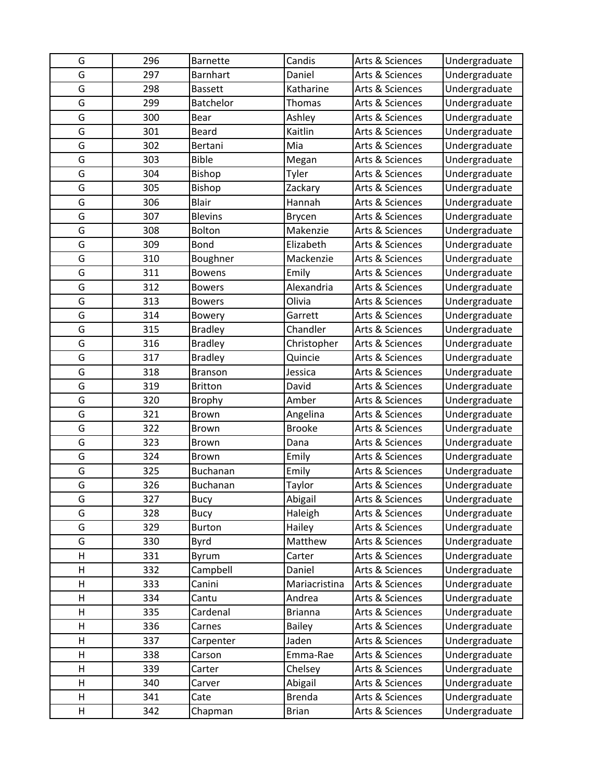| G | 296 | <b>Barnette</b> | Candis         | Arts & Sciences | Undergraduate |
|---|-----|-----------------|----------------|-----------------|---------------|
| G | 297 | <b>Barnhart</b> | Daniel         | Arts & Sciences | Undergraduate |
| G | 298 | <b>Bassett</b>  | Katharine      | Arts & Sciences | Undergraduate |
| G | 299 | Batchelor       | <b>Thomas</b>  | Arts & Sciences | Undergraduate |
| G | 300 | Bear            | Ashley         | Arts & Sciences | Undergraduate |
| G | 301 | Beard           | Kaitlin        | Arts & Sciences | Undergraduate |
| G | 302 | Bertani         | Mia            | Arts & Sciences | Undergraduate |
| G | 303 | <b>Bible</b>    | Megan          | Arts & Sciences | Undergraduate |
| G | 304 | Bishop          | Tyler          | Arts & Sciences | Undergraduate |
| G | 305 | Bishop          | Zackary        | Arts & Sciences | Undergraduate |
| G | 306 | <b>Blair</b>    | Hannah         | Arts & Sciences | Undergraduate |
| G | 307 | <b>Blevins</b>  | Brycen         | Arts & Sciences | Undergraduate |
| G | 308 | Bolton          | Makenzie       | Arts & Sciences | Undergraduate |
| G | 309 | Bond            | Elizabeth      | Arts & Sciences | Undergraduate |
| G | 310 | Boughner        | Mackenzie      | Arts & Sciences | Undergraduate |
| G | 311 | <b>Bowens</b>   | Emily          | Arts & Sciences | Undergraduate |
| G | 312 | <b>Bowers</b>   | Alexandria     | Arts & Sciences | Undergraduate |
| G | 313 | <b>Bowers</b>   | Olivia         | Arts & Sciences | Undergraduate |
| G | 314 | <b>Bowery</b>   | Garrett        | Arts & Sciences | Undergraduate |
| G | 315 | <b>Bradley</b>  | Chandler       | Arts & Sciences | Undergraduate |
| G | 316 | <b>Bradley</b>  | Christopher    | Arts & Sciences | Undergraduate |
| G | 317 | <b>Bradley</b>  | Quincie        | Arts & Sciences | Undergraduate |
| G | 318 | <b>Branson</b>  | Jessica        | Arts & Sciences | Undergraduate |
| G | 319 | <b>Britton</b>  | David          | Arts & Sciences | Undergraduate |
| G | 320 | <b>Brophy</b>   | Amber          | Arts & Sciences | Undergraduate |
| G | 321 | Brown           | Angelina       | Arts & Sciences | Undergraduate |
| G | 322 | Brown           | <b>Brooke</b>  | Arts & Sciences | Undergraduate |
| G | 323 | Brown           | Dana           | Arts & Sciences | Undergraduate |
| G | 324 | <b>Brown</b>    | Emily          | Arts & Sciences | Undergraduate |
| G | 325 | Buchanan        | Emily          | Arts & Sciences | Undergraduate |
| G | 326 | <b>Buchanan</b> | Taylor         | Arts & Sciences | Undergraduate |
| G | 327 | <b>Bucy</b>     | Abigail        | Arts & Sciences | Undergraduate |
| G | 328 | <b>Bucy</b>     | Haleigh        | Arts & Sciences | Undergraduate |
| G | 329 | <b>Burton</b>   | Hailey         | Arts & Sciences | Undergraduate |
| G | 330 | <b>Byrd</b>     | Matthew        | Arts & Sciences | Undergraduate |
| Η | 331 | Byrum           | Carter         | Arts & Sciences | Undergraduate |
| Н | 332 | Campbell        | Daniel         | Arts & Sciences | Undergraduate |
| Η | 333 | Canini          | Mariacristina  | Arts & Sciences | Undergraduate |
| Н | 334 | Cantu           | Andrea         | Arts & Sciences | Undergraduate |
| Η | 335 | Cardenal        | <b>Brianna</b> | Arts & Sciences | Undergraduate |
| Η | 336 | Carnes          | <b>Bailey</b>  | Arts & Sciences | Undergraduate |
| Н | 337 | Carpenter       | Jaden          | Arts & Sciences | Undergraduate |
| Η | 338 | Carson          | Emma-Rae       | Arts & Sciences | Undergraduate |
| Н | 339 | Carter          | Chelsey        | Arts & Sciences | Undergraduate |
| Н | 340 | Carver          | Abigail        | Arts & Sciences | Undergraduate |
| Η | 341 | Cate            | <b>Brenda</b>  | Arts & Sciences | Undergraduate |
| Н | 342 | Chapman         | <b>Brian</b>   | Arts & Sciences | Undergraduate |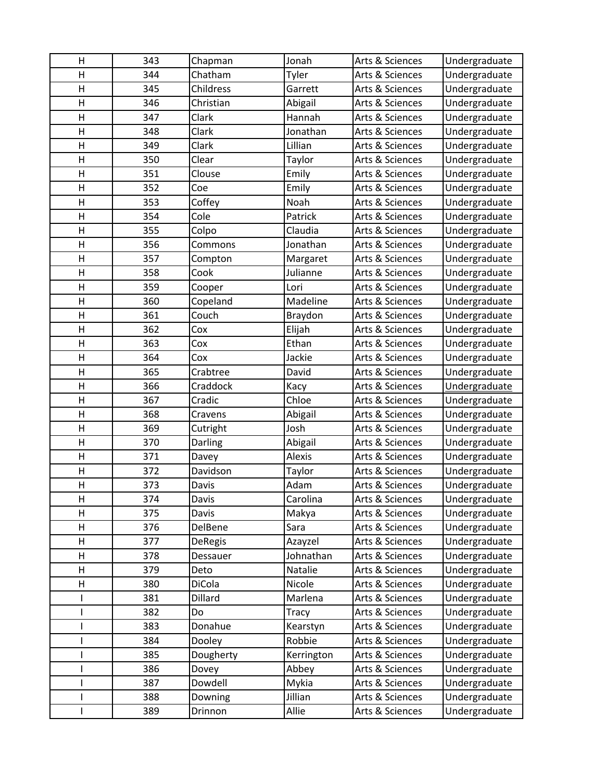| н                       | 343        | Chapman               | Jonah               | Arts & Sciences                    | Undergraduate                  |
|-------------------------|------------|-----------------------|---------------------|------------------------------------|--------------------------------|
| $\overline{\mathsf{H}}$ | 344        | Chatham               | Tyler               | Arts & Sciences                    | Undergraduate                  |
| Η                       | 345        | Childress             | Garrett             | Arts & Sciences                    | Undergraduate                  |
| $\mathsf{H}$            | 346        | Christian             | Abigail             | Arts & Sciences                    | Undergraduate                  |
| H                       | 347        | Clark                 | Hannah              | Arts & Sciences                    | Undergraduate                  |
| Η                       | 348        | Clark                 | Jonathan            | Arts & Sciences                    | Undergraduate                  |
| $\overline{\mathsf{H}}$ | 349        | Clark                 | Lillian             | Arts & Sciences                    | Undergraduate                  |
| Η                       | 350        | Clear                 | Taylor              | Arts & Sciences                    | Undergraduate                  |
| Η                       | 351        | Clouse                | Emily               | Arts & Sciences                    | Undergraduate                  |
| H                       | 352        | Coe                   | Emily               | Arts & Sciences                    | Undergraduate                  |
| Η                       | 353        | Coffey                | Noah                | Arts & Sciences                    | Undergraduate                  |
| Η                       | 354        | Cole                  | Patrick             | Arts & Sciences                    | Undergraduate                  |
| $\overline{\mathsf{H}}$ | 355        | Colpo                 | Claudia             | Arts & Sciences                    | Undergraduate                  |
| Н                       | 356        | Commons               | Jonathan            | Arts & Sciences                    | Undergraduate                  |
| H                       | 357        | Compton               | Margaret            | Arts & Sciences                    | Undergraduate                  |
| Н                       | 358        | Cook                  | Julianne            | Arts & Sciences                    | Undergraduate                  |
| Η                       | 359        | Cooper                | Lori                | Arts & Sciences                    | Undergraduate                  |
| Η                       | 360        | Copeland              | Madeline            | Arts & Sciences                    | Undergraduate                  |
| Η                       | 361        | Couch                 | Braydon             | Arts & Sciences                    | Undergraduate                  |
| $\overline{\mathsf{H}}$ | 362        | Cox                   | Elijah              | Arts & Sciences                    | Undergraduate                  |
| $\overline{\mathsf{H}}$ | 363        | Cox                   | Ethan               | Arts & Sciences                    | Undergraduate                  |
| $\mathsf{H}$            | 364        | Cox                   | Jackie              | Arts & Sciences                    | Undergraduate                  |
| Η                       | 365        | Crabtree              | David               | Arts & Sciences                    | Undergraduate                  |
| Η                       | 366        | Craddock              | Kacy                | Arts & Sciences                    | Undergraduate                  |
| $\overline{\mathsf{H}}$ | 367        | Cradic                | Chloe               | Arts & Sciences                    | Undergraduate                  |
| $\overline{\mathsf{H}}$ | 368        | Cravens               | Abigail             | Arts & Sciences                    | Undergraduate                  |
| Η                       | 369        | Cutright              | Josh                | Arts & Sciences                    | Undergraduate                  |
| Η                       | 370        | Darling               | Abigail             | Arts & Sciences                    | Undergraduate                  |
| $\overline{\mathsf{H}}$ | 371        | Davey                 | Alexis              | Arts & Sciences                    | Undergraduate                  |
| $\overline{\mathsf{H}}$ | 372        | Davidson              | Taylor              | Arts & Sciences                    | Undergraduate                  |
| $\overline{\mathsf{H}}$ | 373        | Davis                 | Adam                | Arts & Sciences                    | Undergraduate                  |
| н                       | 374        | Davis                 | Carolina            | Arts & Sciences                    | Undergraduate                  |
| н                       | 375        | Davis                 | Makya               | Arts & Sciences                    | Undergraduate                  |
| Н                       | 376        | DelBene               | Sara                | Arts & Sciences                    | Undergraduate                  |
| Η                       | 377        | <b>DeRegis</b>        | Azayzel             | Arts & Sciences                    | Undergraduate                  |
| Н                       | 378<br>379 | Dessauer              | Johnathan           | Arts & Sciences                    | Undergraduate                  |
| Н<br>Η                  | 380        | Deto<br><b>DiCola</b> | Natalie<br>Nicole   | Arts & Sciences<br>Arts & Sciences | Undergraduate                  |
|                         |            | Dillard               | Marlena             |                                    | Undergraduate<br>Undergraduate |
|                         | 381<br>382 | Do                    |                     | Arts & Sciences<br>Arts & Sciences | Undergraduate                  |
|                         |            |                       | Tracy               |                                    |                                |
| ı                       | 383<br>384 | Donahue               | Kearstyn            | Arts & Sciences                    | Undergraduate                  |
| ı                       | 385        | Dooley<br>Dougherty   | Robbie              | Arts & Sciences<br>Arts & Sciences | Undergraduate<br>Undergraduate |
| I                       | 386        | Dovey                 | Kerrington<br>Abbey | Arts & Sciences                    | Undergraduate                  |
|                         | 387        | Dowdell               | Mykia               | Arts & Sciences                    | Undergraduate                  |
|                         | 388        |                       | Jillian             | Arts & Sciences                    | Undergraduate                  |
|                         | 389        | Downing               | Allie               |                                    | Undergraduate                  |
|                         |            | Drinnon               |                     | Arts & Sciences                    |                                |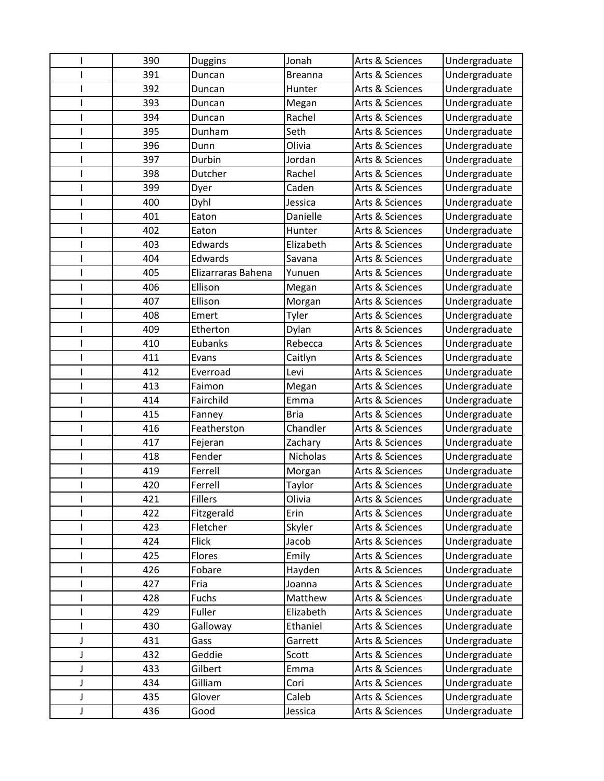|   | 390 | <b>Duggins</b>     | Jonah           | Arts & Sciences | Undergraduate        |
|---|-----|--------------------|-----------------|-----------------|----------------------|
|   | 391 | Duncan             | <b>Breanna</b>  | Arts & Sciences | Undergraduate        |
|   | 392 | Duncan             | Hunter          | Arts & Sciences | Undergraduate        |
|   | 393 | Duncan             | Megan           | Arts & Sciences | Undergraduate        |
|   | 394 | Duncan             | Rachel          | Arts & Sciences | Undergraduate        |
|   | 395 | Dunham             | Seth            | Arts & Sciences | Undergraduate        |
|   | 396 | Dunn               | Olivia          | Arts & Sciences | Undergraduate        |
|   | 397 | Durbin             | Jordan          | Arts & Sciences | Undergraduate        |
|   | 398 | Dutcher            | Rachel          | Arts & Sciences | Undergraduate        |
|   | 399 | Dyer               | Caden           | Arts & Sciences | Undergraduate        |
|   | 400 | Dyhl               | Jessica         | Arts & Sciences | Undergraduate        |
|   | 401 | Eaton              | Danielle        | Arts & Sciences | Undergraduate        |
|   | 402 | Eaton              | Hunter          | Arts & Sciences | Undergraduate        |
|   | 403 | Edwards            | Elizabeth       | Arts & Sciences | Undergraduate        |
|   | 404 | Edwards            | Savana          | Arts & Sciences | Undergraduate        |
|   | 405 | Elizarraras Bahena | Yunuen          | Arts & Sciences | Undergraduate        |
|   | 406 | Ellison            | Megan           | Arts & Sciences | Undergraduate        |
|   | 407 | Ellison            | Morgan          | Arts & Sciences | Undergraduate        |
|   | 408 | Emert              | Tyler           | Arts & Sciences | Undergraduate        |
|   | 409 | Etherton           | Dylan           | Arts & Sciences | Undergraduate        |
|   | 410 | Eubanks            | Rebecca         | Arts & Sciences | Undergraduate        |
|   | 411 | Evans              | Caitlyn         | Arts & Sciences | Undergraduate        |
|   | 412 | Everroad           | Levi            | Arts & Sciences | Undergraduate        |
|   | 413 | Faimon             | Megan           | Arts & Sciences | Undergraduate        |
|   | 414 | Fairchild          | Emma            | Arts & Sciences | Undergraduate        |
|   | 415 | Fanney             | <b>Bria</b>     | Arts & Sciences | Undergraduate        |
|   | 416 | Featherston        | Chandler        | Arts & Sciences | Undergraduate        |
|   | 417 | Fejeran            | Zachary         | Arts & Sciences | Undergraduate        |
|   | 418 | Fender             | <b>Nicholas</b> | Arts & Sciences | Undergraduate        |
|   | 419 | Ferrell            | Morgan          | Arts & Sciences | Undergraduate        |
|   | 420 | Ferrell            | Taylor          | Arts & Sciences | <b>Undergraduate</b> |
|   | 421 | <b>Fillers</b>     | Olivia          | Arts & Sciences | Undergraduate        |
|   | 422 | Fitzgerald         | Erin            | Arts & Sciences | Undergraduate        |
|   | 423 | Fletcher           | Skyler          | Arts & Sciences | Undergraduate        |
|   | 424 | <b>Flick</b>       | Jacob           | Arts & Sciences | Undergraduate        |
|   | 425 | Flores             | Emily           | Arts & Sciences | Undergraduate        |
|   | 426 | Fobare             | Hayden          | Arts & Sciences | Undergraduate        |
|   | 427 | Fria               | Joanna          | Arts & Sciences | Undergraduate        |
|   | 428 | Fuchs              | Matthew         | Arts & Sciences | Undergraduate        |
|   | 429 | Fuller             | Elizabeth       | Arts & Sciences | Undergraduate        |
|   | 430 | Galloway           | Ethaniel        | Arts & Sciences | Undergraduate        |
| J | 431 | Gass               | Garrett         | Arts & Sciences | Undergraduate        |
| J | 432 | Geddie             | Scott           | Arts & Sciences | Undergraduate        |
| J | 433 | Gilbert            | Emma            | Arts & Sciences | Undergraduate        |
| J | 434 | Gilliam            | Cori            | Arts & Sciences | Undergraduate        |
| J | 435 | Glover             | Caleb           | Arts & Sciences | Undergraduate        |
| J | 436 | Good               | Jessica         | Arts & Sciences | Undergraduate        |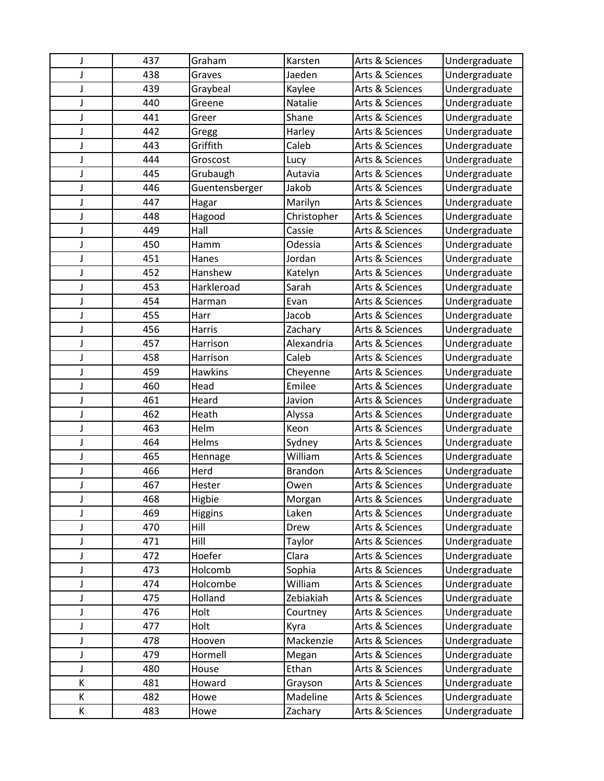| J | 437 | Graham         | Karsten        | Arts & Sciences | Undergraduate |
|---|-----|----------------|----------------|-----------------|---------------|
| J | 438 | Graves         | Jaeden         | Arts & Sciences | Undergraduate |
| J | 439 | Graybeal       | Kaylee         | Arts & Sciences | Undergraduate |
| J | 440 | Greene         | Natalie        | Arts & Sciences | Undergraduate |
| J | 441 | Greer          | Shane          | Arts & Sciences | Undergraduate |
| J | 442 | Gregg          | Harley         | Arts & Sciences | Undergraduate |
| J | 443 | Griffith       | Caleb          | Arts & Sciences | Undergraduate |
| J | 444 | Groscost       | Lucy           | Arts & Sciences | Undergraduate |
| J | 445 | Grubaugh       | Autavia        | Arts & Sciences | Undergraduate |
| J | 446 | Guentensberger | Jakob          | Arts & Sciences | Undergraduate |
| J | 447 | Hagar          | Marilyn        | Arts & Sciences | Undergraduate |
| J | 448 | Hagood         | Christopher    | Arts & Sciences | Undergraduate |
| J | 449 | Hall           | Cassie         | Arts & Sciences | Undergraduate |
| J | 450 | Hamm           | Odessia        | Arts & Sciences | Undergraduate |
| J | 451 | Hanes          | Jordan         | Arts & Sciences | Undergraduate |
| J | 452 | Hanshew        | Katelyn        | Arts & Sciences | Undergraduate |
| J | 453 | Harkleroad     | Sarah          | Arts & Sciences | Undergraduate |
| J | 454 | Harman         | Evan           | Arts & Sciences | Undergraduate |
| J | 455 | Harr           | Jacob          | Arts & Sciences | Undergraduate |
| J | 456 | <b>Harris</b>  | Zachary        | Arts & Sciences | Undergraduate |
| J | 457 | Harrison       | Alexandria     | Arts & Sciences | Undergraduate |
| J | 458 | Harrison       | Caleb          | Arts & Sciences | Undergraduate |
| J | 459 | <b>Hawkins</b> | Cheyenne       | Arts & Sciences | Undergraduate |
| J | 460 | Head           | Emilee         | Arts & Sciences | Undergraduate |
| J | 461 | Heard          | Javion         | Arts & Sciences | Undergraduate |
| J | 462 | Heath          | Alyssa         | Arts & Sciences | Undergraduate |
| J | 463 | Helm           | Keon           | Arts & Sciences | Undergraduate |
| J | 464 | Helms          | Sydney         | Arts & Sciences | Undergraduate |
| J | 465 | Hennage        | William        | Arts & Sciences | Undergraduate |
| J | 466 | Herd           | <b>Brandon</b> | Arts & Sciences | Undergraduate |
| J | 467 | Hester         | Owen           | Arts & Sciences | Undergraduate |
|   | 468 | Higbie         | Morgan         | Arts & Sciences | Undergraduate |
| J | 469 | <b>Higgins</b> | Laken          | Arts & Sciences | Undergraduate |
| J | 470 | Hill           | Drew           | Arts & Sciences | Undergraduate |
| J | 471 | Hill           | Taylor         | Arts & Sciences | Undergraduate |
| J | 472 | Hoefer         | Clara          | Arts & Sciences | Undergraduate |
| J | 473 | Holcomb        | Sophia         | Arts & Sciences | Undergraduate |
| J | 474 | Holcombe       | William        | Arts & Sciences | Undergraduate |
| J | 475 | Holland        | Zebiakiah      | Arts & Sciences | Undergraduate |
| J | 476 | Holt           | Courtney       | Arts & Sciences | Undergraduate |
| J | 477 | Holt           | Kyra           | Arts & Sciences | Undergraduate |
| J | 478 | Hooven         | Mackenzie      | Arts & Sciences | Undergraduate |
| J | 479 | Hormell        | Megan          | Arts & Sciences | Undergraduate |
| J | 480 | House          | Ethan          | Arts & Sciences | Undergraduate |
| К | 481 | Howard         | Grayson        | Arts & Sciences | Undergraduate |
| К | 482 | Howe           | Madeline       | Arts & Sciences | Undergraduate |
| К | 483 | Howe           | Zachary        | Arts & Sciences | Undergraduate |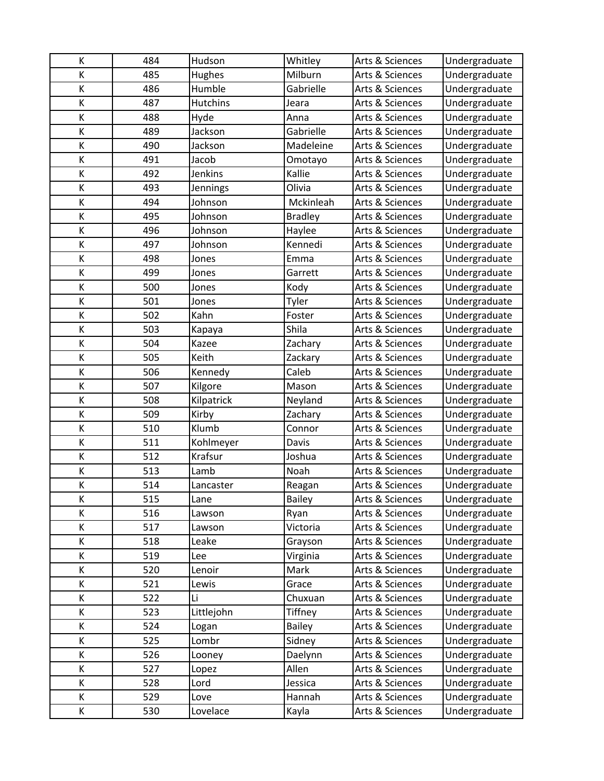| Κ | 484 | Hudson          | Whitley        | Arts & Sciences | Undergraduate |
|---|-----|-----------------|----------------|-----------------|---------------|
| К | 485 | Hughes          | Milburn        | Arts & Sciences | Undergraduate |
| Κ | 486 | Humble          | Gabrielle      | Arts & Sciences | Undergraduate |
| К | 487 | <b>Hutchins</b> | Jeara          | Arts & Sciences | Undergraduate |
| Κ | 488 | Hyde            | Anna           | Arts & Sciences | Undergraduate |
| К | 489 | Jackson         | Gabrielle      | Arts & Sciences | Undergraduate |
| K | 490 | Jackson         | Madeleine      | Arts & Sciences | Undergraduate |
| Κ | 491 | Jacob           | Omotayo        | Arts & Sciences | Undergraduate |
| К | 492 | Jenkins         | Kallie         | Arts & Sciences | Undergraduate |
| K | 493 | Jennings        | Olivia         | Arts & Sciences | Undergraduate |
| K | 494 | Johnson         | Mckinleah      | Arts & Sciences | Undergraduate |
| Κ | 495 | Johnson         | <b>Bradley</b> | Arts & Sciences | Undergraduate |
| Κ | 496 | Johnson         | Haylee         | Arts & Sciences | Undergraduate |
| К | 497 | Johnson         | Kennedi        | Arts & Sciences | Undergraduate |
| Κ | 498 | Jones           | Emma           | Arts & Sciences | Undergraduate |
| K | 499 | Jones           | Garrett        | Arts & Sciences | Undergraduate |
| Κ | 500 | Jones           | Kody           | Arts & Sciences | Undergraduate |
| Κ | 501 | Jones           | Tyler          | Arts & Sciences | Undergraduate |
| Κ | 502 | Kahn            | Foster         | Arts & Sciences | Undergraduate |
| Κ | 503 | Kapaya          | Shila          | Arts & Sciences | Undergraduate |
| K | 504 | Kazee           | Zachary        | Arts & Sciences | Undergraduate |
| К | 505 | Keith           | Zackary        | Arts & Sciences | Undergraduate |
| К | 506 | Kennedy         | Caleb          | Arts & Sciences | Undergraduate |
| K | 507 | Kilgore         | Mason          | Arts & Sciences | Undergraduate |
| Κ | 508 | Kilpatrick      | Neyland        | Arts & Sciences | Undergraduate |
| Κ | 509 | Kirby           | Zachary        | Arts & Sciences | Undergraduate |
| К | 510 | Klumb           | Connor         | Arts & Sciences | Undergraduate |
| K | 511 | Kohlmeyer       | Davis          | Arts & Sciences | Undergraduate |
| К | 512 | Krafsur         | Joshua         | Arts & Sciences | Undergraduate |
| K | 513 | Lamb            | Noah           | Arts & Sciences | Undergraduate |
| К | 514 | Lancaster       | Reagan         | Arts & Sciences | Undergraduate |
| К | 515 | Lane            | <b>Bailey</b>  | Arts & Sciences | Undergraduate |
| К | 516 | Lawson          | Ryan           | Arts & Sciences | Undergraduate |
| К | 517 | Lawson          | Victoria       | Arts & Sciences | Undergraduate |
| К | 518 | Leake           | Grayson        | Arts & Sciences | Undergraduate |
| К | 519 | Lee             | Virginia       | Arts & Sciences | Undergraduate |
| К | 520 | Lenoir          | Mark           | Arts & Sciences | Undergraduate |
| К | 521 | Lewis           | Grace          | Arts & Sciences | Undergraduate |
| Κ | 522 | Li              | Chuxuan        | Arts & Sciences | Undergraduate |
| К | 523 | Littlejohn      | Tiffney        | Arts & Sciences | Undergraduate |
| К | 524 | Logan           | <b>Bailey</b>  | Arts & Sciences | Undergraduate |
| К | 525 | Lombr           | Sidney         | Arts & Sciences | Undergraduate |
| К | 526 | Looney          | Daelynn        | Arts & Sciences | Undergraduate |
| Κ | 527 | Lopez           | Allen          | Arts & Sciences | Undergraduate |
| K | 528 | Lord            | Jessica        | Arts & Sciences | Undergraduate |
| К | 529 | Love            | Hannah         | Arts & Sciences | Undergraduate |
| К | 530 | Lovelace        | Kayla          | Arts & Sciences | Undergraduate |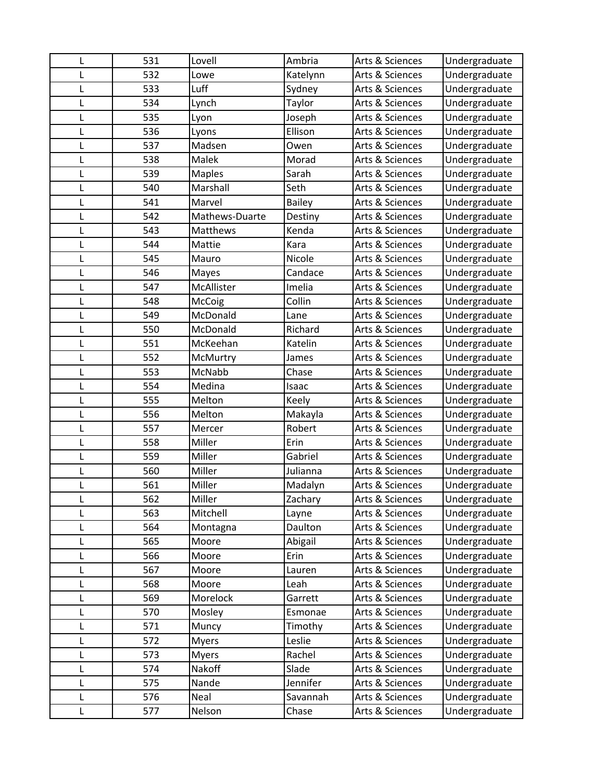| L | 531 | Lovell         | Ambria        | Arts & Sciences | Undergraduate |
|---|-----|----------------|---------------|-----------------|---------------|
| L | 532 | Lowe           | Katelynn      | Arts & Sciences | Undergraduate |
| L | 533 | Luff           | Sydney        | Arts & Sciences | Undergraduate |
| L | 534 | Lynch          | Taylor        | Arts & Sciences | Undergraduate |
| L | 535 | Lyon           | Joseph        | Arts & Sciences | Undergraduate |
| L | 536 | Lyons          | Ellison       | Arts & Sciences | Undergraduate |
| L | 537 | Madsen         | Owen          | Arts & Sciences | Undergraduate |
| L | 538 | Malek          | Morad         | Arts & Sciences | Undergraduate |
| L | 539 | <b>Maples</b>  | Sarah         | Arts & Sciences | Undergraduate |
| L | 540 | Marshall       | Seth          | Arts & Sciences | Undergraduate |
| L | 541 | Marvel         | <b>Bailey</b> | Arts & Sciences | Undergraduate |
| L | 542 | Mathews-Duarte | Destiny       | Arts & Sciences | Undergraduate |
| L | 543 | Matthews       | Kenda         | Arts & Sciences | Undergraduate |
| L | 544 | Mattie         | Kara          | Arts & Sciences | Undergraduate |
| L | 545 | Mauro          | Nicole        | Arts & Sciences | Undergraduate |
| L | 546 | Mayes          | Candace       | Arts & Sciences | Undergraduate |
| L | 547 | McAllister     | Imelia        | Arts & Sciences | Undergraduate |
| L | 548 | McCoig         | Collin        | Arts & Sciences | Undergraduate |
| L | 549 | McDonald       | Lane          | Arts & Sciences | Undergraduate |
| L | 550 | McDonald       | Richard       | Arts & Sciences | Undergraduate |
| L | 551 | McKeehan       | Katelin       | Arts & Sciences | Undergraduate |
| L | 552 | McMurtry       | James         | Arts & Sciences | Undergraduate |
| L | 553 | McNabb         | Chase         | Arts & Sciences | Undergraduate |
| L | 554 | Medina         | Isaac         | Arts & Sciences | Undergraduate |
| L | 555 | Melton         | Keely         | Arts & Sciences | Undergraduate |
| L | 556 | Melton         | Makayla       | Arts & Sciences | Undergraduate |
| L | 557 | Mercer         | Robert        | Arts & Sciences | Undergraduate |
| L | 558 | Miller         | Erin          | Arts & Sciences | Undergraduate |
| L | 559 | Miller         | Gabriel       | Arts & Sciences | Undergraduate |
| L | 560 | Miller         | Julianna      | Arts & Sciences | Undergraduate |
| L | 561 | Miller         | Madalyn       | Arts & Sciences | Undergraduate |
|   | 562 | Miller         | Zachary       | Arts & Sciences | Undergraduate |
| L | 563 | Mitchell       | Layne         | Arts & Sciences | Undergraduate |
| L | 564 | Montagna       | Daulton       | Arts & Sciences | Undergraduate |
| L | 565 | Moore          | Abigail       | Arts & Sciences | Undergraduate |
| L | 566 | Moore          | Erin          | Arts & Sciences | Undergraduate |
| L | 567 | Moore          | Lauren        | Arts & Sciences | Undergraduate |
| L | 568 | Moore          | Leah          | Arts & Sciences | Undergraduate |
| L | 569 | Morelock       | Garrett       | Arts & Sciences | Undergraduate |
| L | 570 | Mosley         | Esmonae       | Arts & Sciences | Undergraduate |
| L | 571 | Muncy          | Timothy       | Arts & Sciences | Undergraduate |
| L | 572 | <b>Myers</b>   | Leslie        | Arts & Sciences | Undergraduate |
| L | 573 | <b>Myers</b>   | Rachel        | Arts & Sciences | Undergraduate |
| L | 574 | Nakoff         | Slade         | Arts & Sciences | Undergraduate |
| L | 575 | Nande          | Jennifer      | Arts & Sciences | Undergraduate |
| L | 576 | Neal           | Savannah      | Arts & Sciences | Undergraduate |
| L | 577 | Nelson         | Chase         | Arts & Sciences | Undergraduate |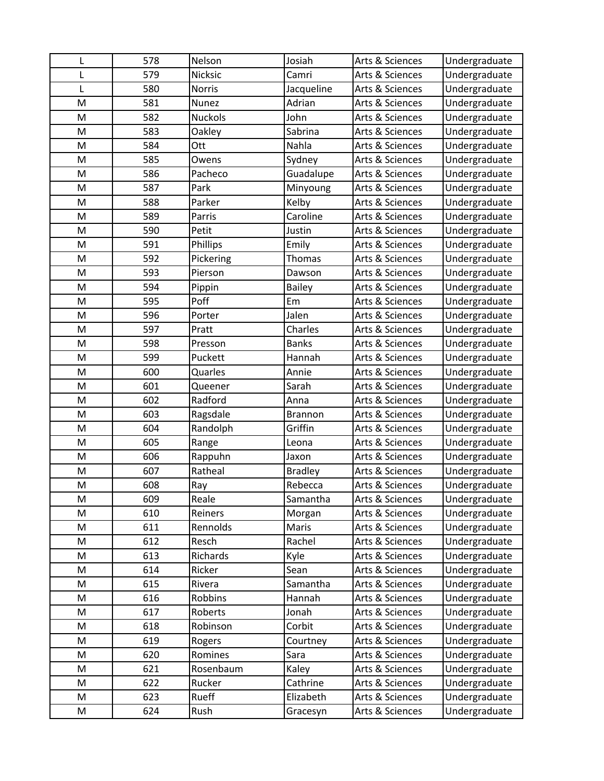| L | 578        | Nelson            | Josiah          | Arts & Sciences | Undergraduate |
|---|------------|-------------------|-----------------|-----------------|---------------|
| L | 579        | Nicksic           | Camri           | Arts & Sciences | Undergraduate |
| L | 580        | <b>Norris</b>     | Jacqueline      | Arts & Sciences | Undergraduate |
| M | 581        | Nunez             | Adrian          | Arts & Sciences | Undergraduate |
| M | 582        | <b>Nuckols</b>    | John            | Arts & Sciences | Undergraduate |
| M | 583        | Oakley            | Sabrina         | Arts & Sciences | Undergraduate |
| M | 584        | Ott               | Nahla           | Arts & Sciences | Undergraduate |
| M | 585        | Owens             | Sydney          | Arts & Sciences | Undergraduate |
| M | 586        | Pacheco           | Guadalupe       | Arts & Sciences | Undergraduate |
| M | 587        | Park              | Minyoung        | Arts & Sciences | Undergraduate |
| M | 588        | Parker            | Kelby           | Arts & Sciences | Undergraduate |
| M | 589        | Parris            | Caroline        | Arts & Sciences | Undergraduate |
| M | 590        | Petit             | Justin          | Arts & Sciences | Undergraduate |
| M | 591        | Phillips          | Emily           | Arts & Sciences | Undergraduate |
| M | 592        | Pickering         | Thomas          | Arts & Sciences | Undergraduate |
| M | 593        | Pierson           | Dawson          | Arts & Sciences | Undergraduate |
| M | 594        | Pippin            | <b>Bailey</b>   | Arts & Sciences | Undergraduate |
| M | 595        | Poff              | Em              | Arts & Sciences | Undergraduate |
| M | 596        | Porter            | Jalen           | Arts & Sciences | Undergraduate |
| M | 597        | Pratt             | Charles         | Arts & Sciences | Undergraduate |
| M | 598        | Presson           | <b>Banks</b>    | Arts & Sciences | Undergraduate |
| M | 599        | Puckett           | Hannah          | Arts & Sciences | Undergraduate |
| M | 600        | Quarles           | Annie           | Arts & Sciences | Undergraduate |
| M | 601        | Queener           | Sarah           | Arts & Sciences | Undergraduate |
| M | 602        | Radford           | Anna            | Arts & Sciences | Undergraduate |
| M | 603        | Ragsdale          | <b>Brannon</b>  | Arts & Sciences | Undergraduate |
| M | 604        | Randolph          | Griffin         | Arts & Sciences | Undergraduate |
| M | 605        | Range             | Leona           | Arts & Sciences | Undergraduate |
| M | 606        | Rappuhn           | Jaxon           | Arts & Sciences | Undergraduate |
| M | 607        | Ratheal           | <b>Bradley</b>  | Arts & Sciences | Undergraduate |
| M | 608        | Ray               | Rebecca         | Arts & Sciences | Undergraduate |
| M | 609        | Reale             | Samantha        | Arts & Sciences | Undergraduate |
| M | 610        | Reiners           | Morgan          | Arts & Sciences | Undergraduate |
| M | 611        | Rennolds          | Maris           | Arts & Sciences | Undergraduate |
| M | 612        | Resch             | Rachel          | Arts & Sciences | Undergraduate |
| M | 613        | Richards          | Kyle            | Arts & Sciences | Undergraduate |
| M | 614        | Ricker            | Sean            | Arts & Sciences | Undergraduate |
| M | 615        | Rivera            | Samantha        | Arts & Sciences | Undergraduate |
| M | 616        | Robbins           | Hannah          | Arts & Sciences | Undergraduate |
| M | 617        | Roberts           | Jonah<br>Corbit | Arts & Sciences | Undergraduate |
| M | 618        | Robinson          |                 | Arts & Sciences | Undergraduate |
| Μ | 619<br>620 | Rogers<br>Romines | Courtney        | Arts & Sciences | Undergraduate |
| M |            |                   | Sara            | Arts & Sciences | Undergraduate |
| M | 621        | Rosenbaum         | Kaley           | Arts & Sciences | Undergraduate |
| M | 622        | Rucker            | Cathrine        | Arts & Sciences | Undergraduate |
| M | 623        | Rueff             | Elizabeth       | Arts & Sciences | Undergraduate |
| Μ | 624        | Rush              | Gracesyn        | Arts & Sciences | Undergraduate |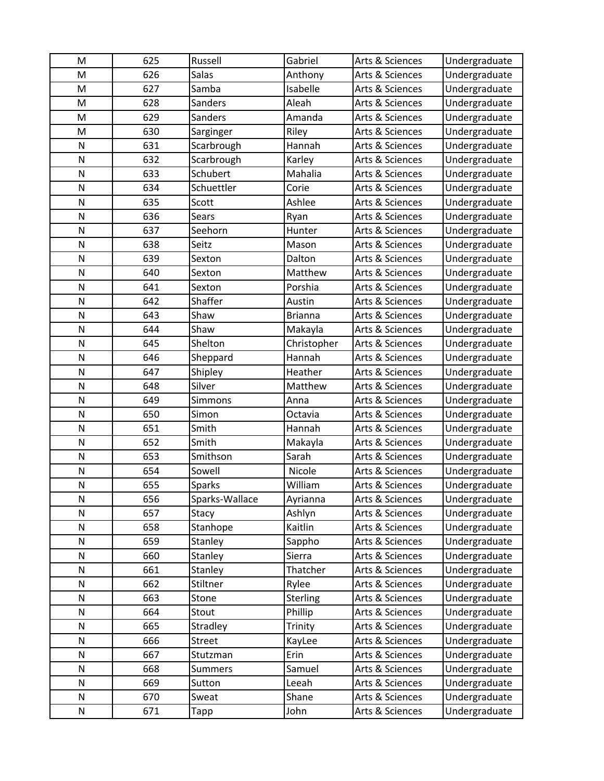| M            | 625 | Russell        | Gabriel        | Arts & Sciences            | Undergraduate |
|--------------|-----|----------------|----------------|----------------------------|---------------|
| M            | 626 | <b>Salas</b>   | Anthony        | Arts & Sciences            | Undergraduate |
| M            | 627 | Samba          | Isabelle       | Arts & Sciences            | Undergraduate |
| M            | 628 | <b>Sanders</b> | Aleah          | Arts & Sciences            | Undergraduate |
| M            | 629 | Sanders        | Amanda         | Arts & Sciences            | Undergraduate |
| M            | 630 | Sarginger      | Riley          | Arts & Sciences            | Undergraduate |
| N            | 631 | Scarbrough     | Hannah         | Arts & Sciences            | Undergraduate |
| N            | 632 | Scarbrough     | Karley         | Arts & Sciences            | Undergraduate |
| N            | 633 | Schubert       | Mahalia        | Arts & Sciences            | Undergraduate |
| N            | 634 | Schuettler     | Corie          | Arts & Sciences            | Undergraduate |
| N            | 635 | Scott          | Ashlee         | Arts & Sciences            | Undergraduate |
| N            | 636 | Sears          | Ryan           | Arts & Sciences            | Undergraduate |
| N            | 637 | Seehorn        | Hunter         | Arts & Sciences            | Undergraduate |
| N            | 638 | Seitz          | Mason          | Arts & Sciences            | Undergraduate |
| N            | 639 | Sexton         | Dalton         | <b>Arts &amp; Sciences</b> | Undergraduate |
| N            | 640 | Sexton         | Matthew        | Arts & Sciences            | Undergraduate |
| N            | 641 | Sexton         | Porshia        | Arts & Sciences            | Undergraduate |
| N            | 642 | Shaffer        | Austin         | Arts & Sciences            | Undergraduate |
| N            | 643 | Shaw           | <b>Brianna</b> | Arts & Sciences            | Undergraduate |
| N            | 644 | Shaw           | Makayla        | Arts & Sciences            | Undergraduate |
| N            | 645 | Shelton        | Christopher    | Arts & Sciences            | Undergraduate |
| N            | 646 | Sheppard       | Hannah         | Arts & Sciences            | Undergraduate |
| N            | 647 | Shipley        | Heather        | Arts & Sciences            | Undergraduate |
| N            | 648 | Silver         | Matthew        | Arts & Sciences            | Undergraduate |
| N            | 649 | Simmons        | Anna           | Arts & Sciences            | Undergraduate |
| N            | 650 | Simon          | Octavia        | Arts & Sciences            | Undergraduate |
| N            | 651 | Smith          | Hannah         | Arts & Sciences            | Undergraduate |
| N            | 652 | Smith          | Makayla        | Arts & Sciences            | Undergraduate |
| N            | 653 | Smithson       | Sarah          | Arts & Sciences            | Undergraduate |
| $\mathsf{N}$ | 654 | Sowell         | Nicole         | Arts & Sciences            | Undergraduate |
| $\mathsf{N}$ | 655 | <b>Sparks</b>  | William        | Arts & Sciences            | Undergraduate |
| N            | 656 | Sparks-Wallace | Ayrianna       | Arts & Sciences            | Undergraduate |
| N            | 657 | Stacy          | Ashlyn         | Arts & Sciences            | Undergraduate |
| N            | 658 | Stanhope       | Kaitlin        | Arts & Sciences            | Undergraduate |
| N            | 659 | Stanley        | Sappho         | Arts & Sciences            | Undergraduate |
| N            | 660 | Stanley        | Sierra         | Arts & Sciences            | Undergraduate |
| N            | 661 | Stanley        | Thatcher       | Arts & Sciences            | Undergraduate |
| N            | 662 | Stiltner       | Rylee          | Arts & Sciences            | Undergraduate |
| N            | 663 | Stone          | Sterling       | Arts & Sciences            | Undergraduate |
| N            | 664 | Stout          | Phillip        | Arts & Sciences            | Undergraduate |
| N            | 665 | Stradley       | Trinity        | Arts & Sciences            | Undergraduate |
| N            | 666 | Street         | KayLee         | Arts & Sciences            | Undergraduate |
| N            | 667 | Stutzman       | Erin           | Arts & Sciences            | Undergraduate |
| N            | 668 | <b>Summers</b> | Samuel         | Arts & Sciences            | Undergraduate |
| N            | 669 | Sutton         | Leeah          | Arts & Sciences            | Undergraduate |
| N            | 670 | Sweat          | Shane          | Arts & Sciences            | Undergraduate |
| N            | 671 | Tapp           | John           | Arts & Sciences            | Undergraduate |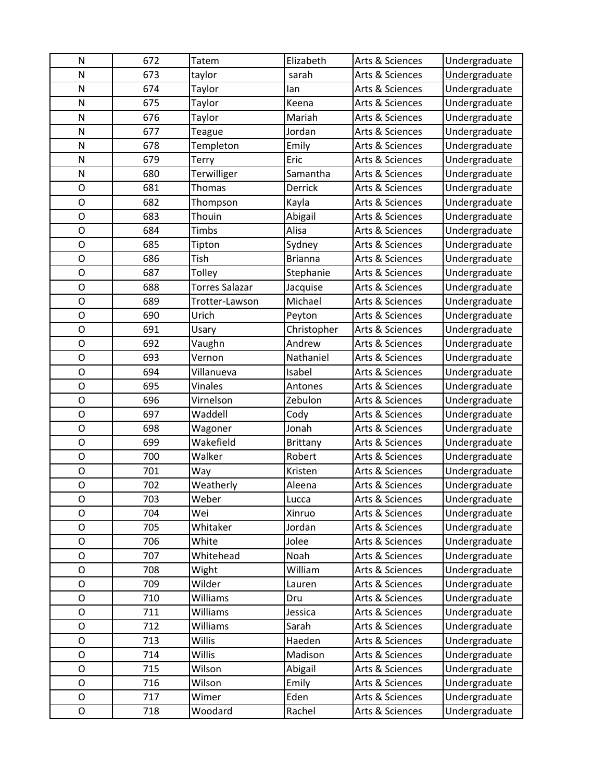| N              | 672 | Tatem                 | Elizabeth       | Arts & Sciences | Undergraduate |
|----------------|-----|-----------------------|-----------------|-----------------|---------------|
| N              | 673 | taylor                | sarah           | Arts & Sciences | Undergraduate |
| N              | 674 | Taylor                | lan             | Arts & Sciences | Undergraduate |
| N              | 675 | Taylor                | Keena           | Arts & Sciences | Undergraduate |
| N              | 676 | Taylor                | Mariah          | Arts & Sciences | Undergraduate |
| N              | 677 | Teague                | Jordan          | Arts & Sciences | Undergraduate |
| N              | 678 | Templeton             | Emily           | Arts & Sciences | Undergraduate |
| N              | 679 | Terry                 | Eric            | Arts & Sciences | Undergraduate |
| N              | 680 | Terwilliger           | Samantha        | Arts & Sciences | Undergraduate |
| $\mathsf{O}$   | 681 | <b>Thomas</b>         | Derrick         | Arts & Sciences | Undergraduate |
| $\circ$        | 682 | Thompson              | Kayla           | Arts & Sciences | Undergraduate |
| $\mathsf{O}$   | 683 | Thouin                | Abigail         | Arts & Sciences | Undergraduate |
| $\mathsf{O}$   | 684 | Timbs                 | Alisa           | Arts & Sciences | Undergraduate |
| O              | 685 | Tipton                | Sydney          | Arts & Sciences | Undergraduate |
| $\mathsf{O}$   | 686 | Tish                  | <b>Brianna</b>  | Arts & Sciences | Undergraduate |
| $\mathsf{O}$   | 687 | Tolley                | Stephanie       | Arts & Sciences | Undergraduate |
| $\mathsf{O}$   | 688 | <b>Torres Salazar</b> | Jacquise        | Arts & Sciences | Undergraduate |
| $\circ$        | 689 | Trotter-Lawson        | Michael         | Arts & Sciences | Undergraduate |
| $\mathsf O$    | 690 | Urich                 | Peyton          | Arts & Sciences | Undergraduate |
| $\overline{O}$ | 691 | Usary                 | Christopher     | Arts & Sciences | Undergraduate |
| $\mathsf{O}$   | 692 | Vaughn                | Andrew          | Arts & Sciences | Undergraduate |
| O              | 693 | Vernon                | Nathaniel       | Arts & Sciences | Undergraduate |
| O              | 694 | Villanueva            | Isabel          | Arts & Sciences | Undergraduate |
| $\mathsf O$    | 695 | Vinales               | Antones         | Arts & Sciences | Undergraduate |
| $\circ$        | 696 | Virnelson             | Zebulon         | Arts & Sciences | Undergraduate |
| $\mathsf{O}$   | 697 | Waddell               | Cody            | Arts & Sciences | Undergraduate |
| O              | 698 | Wagoner               | Jonah           | Arts & Sciences | Undergraduate |
| O              | 699 | Wakefield             | <b>Brittany</b> | Arts & Sciences | Undergraduate |
| $\mathsf{O}$   | 700 | Walker                | Robert          | Arts & Sciences | Undergraduate |
| $\circ$        | 701 | Way                   | Kristen         | Arts & Sciences | Undergraduate |
| $\mathsf{O}$   | 702 | Weatherly             | Aleena          | Arts & Sciences | Undergraduate |
| Ο              | 703 | Weber                 | Lucca           | Arts & Sciences | Undergraduate |
| O              | 704 | Wei                   | Xinruo          | Arts & Sciences | Undergraduate |
| $\mathsf O$    | 705 | Whitaker              | Jordan          | Arts & Sciences | Undergraduate |
| O              | 706 | White                 | Jolee           | Arts & Sciences | Undergraduate |
| O              | 707 | Whitehead             | Noah            | Arts & Sciences | Undergraduate |
| O              | 708 | Wight                 | William         | Arts & Sciences | Undergraduate |
| O              | 709 | Wilder                | Lauren          | Arts & Sciences | Undergraduate |
| $\mathsf{O}$   | 710 | Williams              | Dru             | Arts & Sciences | Undergraduate |
| O              | 711 | Williams              | Jessica         | Arts & Sciences | Undergraduate |
| O              | 712 | Williams              | Sarah           | Arts & Sciences | Undergraduate |
| O              | 713 | Willis                | Haeden          | Arts & Sciences | Undergraduate |
| $\mathsf{O}$   | 714 | Willis                | Madison         | Arts & Sciences | Undergraduate |
| $\mathsf{O}$   | 715 | Wilson                | Abigail         | Arts & Sciences | Undergraduate |
| O              | 716 | Wilson                | Emily           | Arts & Sciences | Undergraduate |
| O              | 717 | Wimer                 | Eden            | Arts & Sciences | Undergraduate |
| $\mathsf O$    | 718 | Woodard               | Rachel          | Arts & Sciences | Undergraduate |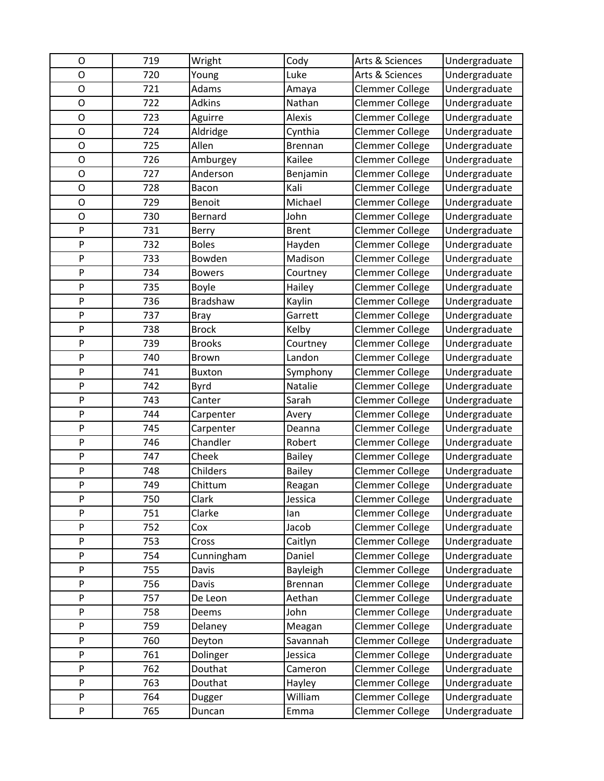| O              | 719 | Wright          | Cody           | Arts & Sciences        | Undergraduate |
|----------------|-----|-----------------|----------------|------------------------|---------------|
| $\overline{O}$ | 720 | Young           | Luke           | Arts & Sciences        | Undergraduate |
| $\mathsf{O}$   | 721 | Adams           | Amaya          | Clemmer College        | Undergraduate |
| O              | 722 | <b>Adkins</b>   | Nathan         | Clemmer College        | Undergraduate |
| $\circ$        | 723 | Aguirre         | Alexis         | <b>Clemmer College</b> | Undergraduate |
| O              | 724 | Aldridge        | Cynthia        | Clemmer College        | Undergraduate |
| $\mathsf{O}$   | 725 | Allen           | Brennan        | Clemmer College        | Undergraduate |
| $\mathsf{O}$   | 726 | Amburgey        | Kailee         | Clemmer College        | Undergraduate |
| O              | 727 | Anderson        | Benjamin       | Clemmer College        | Undergraduate |
| O              | 728 | Bacon           | Kali           | Clemmer College        | Undergraduate |
| $\mathsf{O}$   | 729 | Benoit          | Michael        | Clemmer College        | Undergraduate |
| O              | 730 | Bernard         | John           | Clemmer College        | Undergraduate |
| P              | 731 | Berry           | <b>Brent</b>   | <b>Clemmer College</b> | Undergraduate |
| P              | 732 | <b>Boles</b>    | Hayden         | Clemmer College        | Undergraduate |
| P              | 733 | Bowden          | Madison        | Clemmer College        | Undergraduate |
| P              | 734 | <b>Bowers</b>   | Courtney       | <b>Clemmer College</b> | Undergraduate |
| P              | 735 | Boyle           | Hailey         | <b>Clemmer College</b> | Undergraduate |
| P              | 736 | <b>Bradshaw</b> | Kaylin         | <b>Clemmer College</b> | Undergraduate |
| ${\sf P}$      | 737 | <b>Bray</b>     | Garrett        | Clemmer College        | Undergraduate |
| P              | 738 | <b>Brock</b>    | Kelby          | Clemmer College        | Undergraduate |
| P              | 739 | <b>Brooks</b>   | Courtney       | Clemmer College        | Undergraduate |
| P              | 740 | <b>Brown</b>    | Landon         | Clemmer College        | Undergraduate |
| P              | 741 | <b>Buxton</b>   | Symphony       | Clemmer College        | Undergraduate |
| P              | 742 | Byrd            | Natalie        | Clemmer College        | Undergraduate |
| P              | 743 | Canter          | Sarah          | Clemmer College        | Undergraduate |
| P              | 744 | Carpenter       | Avery          | Clemmer College        | Undergraduate |
| P              | 745 | Carpenter       | Deanna         | Clemmer College        | Undergraduate |
| P              | 746 | Chandler        | Robert         | <b>Clemmer College</b> | Undergraduate |
| ${\sf P}$      | 747 | Cheek           | <b>Bailey</b>  | Clemmer College        | Undergraduate |
| ${\sf P}$      | 748 | Childers        | Bailey         | Clemmer College        | Undergraduate |
| P              | 749 | Chittum         | Reagan         | <b>Clemmer College</b> | Undergraduate |
| P              | 750 | Clark           | Jessica        | <b>Clemmer College</b> | Undergraduate |
| P              | 751 | Clarke          | lan            | Clemmer College        | Undergraduate |
| P              | 752 | Cox             | Jacob          | Clemmer College        | Undergraduate |
| P              | 753 | Cross           | Caitlyn        | Clemmer College        | Undergraduate |
| P              | 754 | Cunningham      | Daniel         | Clemmer College        | Undergraduate |
| P              | 755 | Davis           | Bayleigh       | Clemmer College        | Undergraduate |
| P              | 756 | Davis           | <b>Brennan</b> | Clemmer College        | Undergraduate |
| P              | 757 | De Leon         | Aethan         | Clemmer College        | Undergraduate |
| P              | 758 | Deems           | John           | <b>Clemmer College</b> | Undergraduate |
| P              | 759 | Delaney         | Meagan         | Clemmer College        | Undergraduate |
| P              | 760 | Deyton          | Savannah       | Clemmer College        | Undergraduate |
| P              | 761 | Dolinger        | Jessica        | Clemmer College        | Undergraduate |
| P              | 762 | Douthat         | Cameron        | Clemmer College        | Undergraduate |
| P              | 763 | Douthat         | Hayley         | Clemmer College        | Undergraduate |
| P              | 764 | Dugger          | William        | Clemmer College        | Undergraduate |
| P              | 765 | Duncan          | Emma           | Clemmer College        | Undergraduate |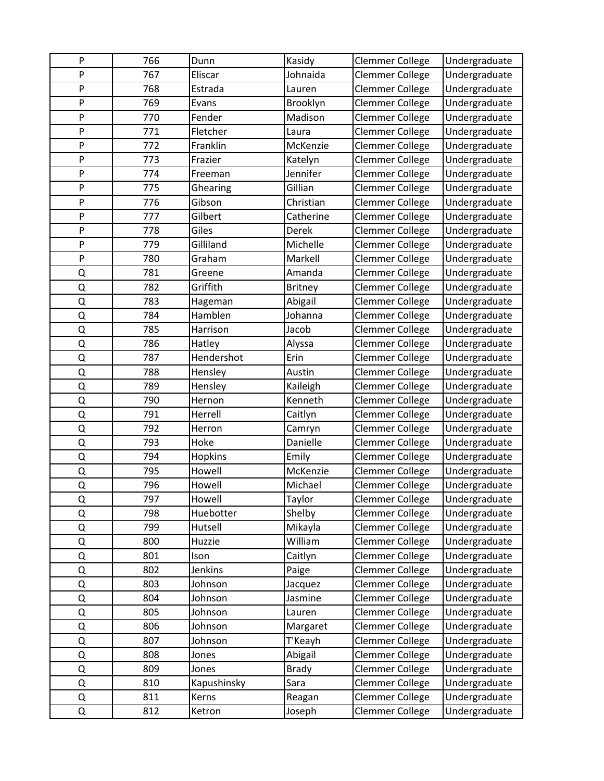| P | 766 | Dunn           | Kasidy         | Clemmer College        | Undergraduate |
|---|-----|----------------|----------------|------------------------|---------------|
| P | 767 | Eliscar        | Johnaida       | <b>Clemmer College</b> | Undergraduate |
| P | 768 | Estrada        | Lauren         | <b>Clemmer College</b> | Undergraduate |
| P | 769 | Evans          | Brooklyn       | <b>Clemmer College</b> | Undergraduate |
| P | 770 | Fender         | Madison        | <b>Clemmer College</b> | Undergraduate |
| P | 771 | Fletcher       | Laura          | <b>Clemmer College</b> | Undergraduate |
| P | 772 | Franklin       | McKenzie       | <b>Clemmer College</b> | Undergraduate |
| P | 773 | Frazier        | Katelyn        | <b>Clemmer College</b> | Undergraduate |
| P | 774 | Freeman        | Jennifer       | Clemmer College        | Undergraduate |
| P | 775 | Ghearing       | Gillian        | <b>Clemmer College</b> | Undergraduate |
| P | 776 | Gibson         | Christian      | <b>Clemmer College</b> | Undergraduate |
| P | 777 | Gilbert        | Catherine      | <b>Clemmer College</b> | Undergraduate |
| P | 778 | Giles          | Derek          | <b>Clemmer College</b> | Undergraduate |
| P | 779 | Gilliland      | Michelle       | Clemmer College        | Undergraduate |
| P | 780 | Graham         | Markell        | <b>Clemmer College</b> | Undergraduate |
| Q | 781 | Greene         | Amanda         | <b>Clemmer College</b> | Undergraduate |
| Q | 782 | Griffith       | <b>Britney</b> | <b>Clemmer College</b> | Undergraduate |
| Q | 783 | Hageman        | Abigail        | <b>Clemmer College</b> | Undergraduate |
| Q | 784 | Hamblen        | Johanna        | Clemmer College        | Undergraduate |
| Q | 785 | Harrison       | Jacob          | Clemmer College        | Undergraduate |
| Q | 786 | Hatley         | Alyssa         | <b>Clemmer College</b> | Undergraduate |
| Q | 787 | Hendershot     | Erin           | <b>Clemmer College</b> | Undergraduate |
| Q | 788 | Hensley        | Austin         | <b>Clemmer College</b> | Undergraduate |
| Q | 789 | Hensley        | Kaileigh       | <b>Clemmer College</b> | Undergraduate |
| Q | 790 | Hernon         | Kenneth        | Clemmer College        | Undergraduate |
| Q | 791 | Herrell        | Caitlyn        | <b>Clemmer College</b> | Undergraduate |
| Q | 792 | Herron         | Camryn         | Clemmer College        | Undergraduate |
| Q | 793 | Hoke           | Danielle       | <b>Clemmer College</b> | Undergraduate |
| Q | 794 | Hopkins        | Emily          | <b>Clemmer College</b> | Undergraduate |
| Q | 795 | Howell         | McKenzie       | <b>Clemmer College</b> | Undergraduate |
| Q | 796 | Howell         | Michael        | <b>Clemmer College</b> | Undergraduate |
| Q | 797 | Howell         | Taylor         | <b>Clemmer College</b> | Undergraduate |
| Q | 798 | Huebotter      | Shelby         | Clemmer College        | Undergraduate |
| Q | 799 | Hutsell        | Mikayla        | Clemmer College        | Undergraduate |
| Q | 800 | Huzzie         | William        | Clemmer College        | Undergraduate |
| Q | 801 | Ison           | Caitlyn        | <b>Clemmer College</b> | Undergraduate |
| Q | 802 | <b>Jenkins</b> | Paige          | Clemmer College        | Undergraduate |
| Q | 803 | Johnson        | Jacquez        | Clemmer College        | Undergraduate |
| Q | 804 | Johnson        | Jasmine        | <b>Clemmer College</b> | Undergraduate |
| Q | 805 | Johnson        | Lauren         | Clemmer College        | Undergraduate |
| Q | 806 | Johnson        | Margaret       | Clemmer College        | Undergraduate |
| Q | 807 | Johnson        | T'Keayh        | Clemmer College        | Undergraduate |
| Q | 808 | Jones          | Abigail        | Clemmer College        | Undergraduate |
| Q | 809 | Jones          | <b>Brady</b>   | Clemmer College        | Undergraduate |
| Q | 810 | Kapushinsky    | Sara           | <b>Clemmer College</b> | Undergraduate |
| Q | 811 | Kerns          | Reagan         | <b>Clemmer College</b> | Undergraduate |
| Q | 812 | Ketron         | Joseph         | Clemmer College        | Undergraduate |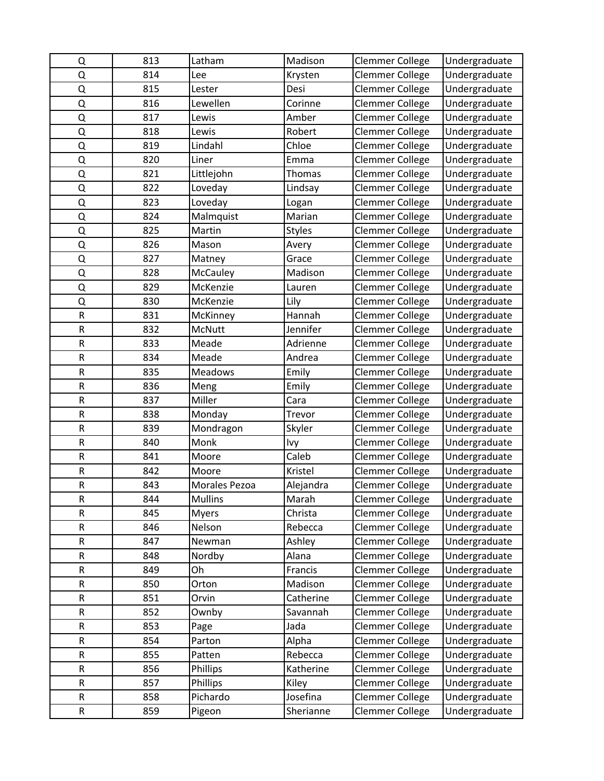| Q           | 813 | Latham         | Madison       | <b>Clemmer College</b> | Undergraduate |
|-------------|-----|----------------|---------------|------------------------|---------------|
| Q           | 814 | Lee            | Krysten       | Clemmer College        | Undergraduate |
| Q           | 815 | Lester         | Desi          | Clemmer College        | Undergraduate |
| Q           | 816 | Lewellen       | Corinne       | Clemmer College        | Undergraduate |
| Q           | 817 | Lewis          | Amber         | <b>Clemmer College</b> | Undergraduate |
| Q           | 818 | Lewis          | Robert        | <b>Clemmer College</b> | Undergraduate |
| Q           | 819 | Lindahl        | Chloe         | <b>Clemmer College</b> | Undergraduate |
| Q           | 820 | Liner          | Emma          | <b>Clemmer College</b> | Undergraduate |
| Q           | 821 | Littlejohn     | Thomas        | Clemmer College        | Undergraduate |
| Q           | 822 | Loveday        | Lindsay       | <b>Clemmer College</b> | Undergraduate |
| Q           | 823 | Loveday        | Logan         | Clemmer College        | Undergraduate |
| Q           | 824 | Malmquist      | Marian        | <b>Clemmer College</b> | Undergraduate |
| Q           | 825 | Martin         | <b>Styles</b> | Clemmer College        | Undergraduate |
| Q           | 826 | Mason          | Avery         | Clemmer College        | Undergraduate |
| Q           | 827 | Matney         | Grace         | Clemmer College        | Undergraduate |
| Q           | 828 | McCauley       | Madison       | Clemmer College        | Undergraduate |
| Q           | 829 | McKenzie       | Lauren        | <b>Clemmer College</b> | Undergraduate |
| Q           | 830 | McKenzie       | Lily          | <b>Clemmer College</b> | Undergraduate |
| ${\sf R}$   | 831 | McKinney       | Hannah        | Clemmer College        | Undergraduate |
| $\mathsf R$ | 832 | McNutt         | Jennifer      | <b>Clemmer College</b> | Undergraduate |
| ${\sf R}$   | 833 | Meade          | Adrienne      | Clemmer College        | Undergraduate |
| ${\sf R}$   | 834 | Meade          | Andrea        | <b>Clemmer College</b> | Undergraduate |
| ${\sf R}$   | 835 | Meadows        | Emily         | <b>Clemmer College</b> | Undergraduate |
| R           | 836 | Meng           | Emily         | Clemmer College        | Undergraduate |
| ${\sf R}$   | 837 | Miller         | Cara          | Clemmer College        | Undergraduate |
| ${\sf R}$   | 838 | Monday         | Trevor        | Clemmer College        | Undergraduate |
| R           | 839 | Mondragon      | Skyler        | Clemmer College        | Undergraduate |
| ${\sf R}$   | 840 | Monk           | Ivy           | <b>Clemmer College</b> | Undergraduate |
| ${\sf R}$   | 841 | Moore          | Caleb         | Clemmer College        | Undergraduate |
| ${\sf R}$   | 842 | Moore          | Kristel       | <b>Clemmer College</b> | Undergraduate |
| ${\sf R}$   | 843 | Morales Pezoa  | Alejandra     | Clemmer College        | Undergraduate |
| R           | 844 | <b>Mullins</b> | Marah         | <b>Clemmer College</b> | Undergraduate |
| ${\sf R}$   | 845 | <b>Myers</b>   | Christa       | Clemmer College        | Undergraduate |
| ${\sf R}$   | 846 | Nelson         | Rebecca       | Clemmer College        | Undergraduate |
| ${\sf R}$   | 847 | Newman         | Ashley        | Clemmer College        | Undergraduate |
| ${\sf R}$   | 848 | Nordby         | Alana         | Clemmer College        | Undergraduate |
| R           | 849 | Oh             | Francis       | Clemmer College        | Undergraduate |
| ${\sf R}$   | 850 | Orton          | Madison       | Clemmer College        | Undergraduate |
| ${\sf R}$   | 851 | Orvin          | Catherine     | Clemmer College        | Undergraduate |
| R           | 852 | Ownby          | Savannah      | <b>Clemmer College</b> | Undergraduate |
| ${\sf R}$   | 853 | Page           | Jada          | Clemmer College        | Undergraduate |
| R           | 854 | Parton         | Alpha         | Clemmer College        | Undergraduate |
| ${\sf R}$   | 855 | Patten         | Rebecca       | Clemmer College        | Undergraduate |
| ${\sf R}$   | 856 | Phillips       | Katherine     | Clemmer College        | Undergraduate |
| R           | 857 | Phillips       | Kiley         | Clemmer College        | Undergraduate |
| ${\sf R}$   | 858 | Pichardo       | Josefina      | Clemmer College        | Undergraduate |
| R           | 859 | Pigeon         | Sherianne     | Clemmer College        | Undergraduate |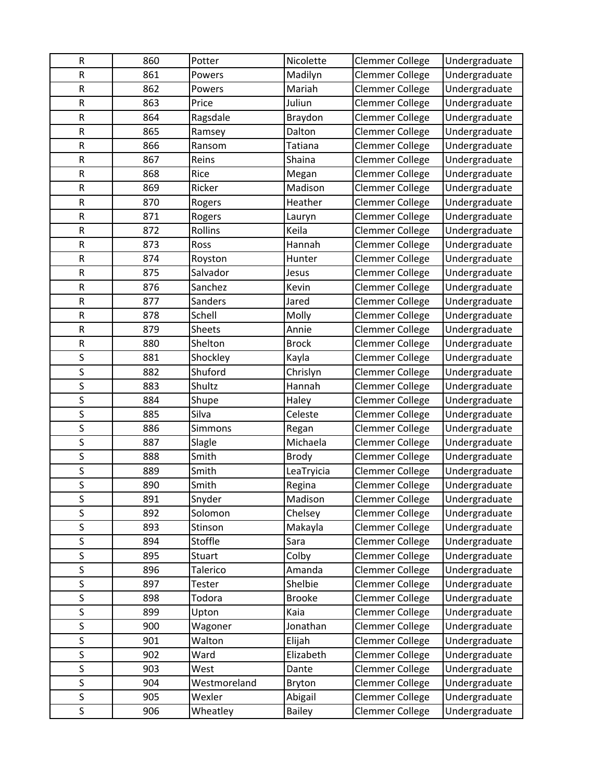| R                       | 860        | Potter         | Nicolette     | Clemmer College        | Undergraduate |
|-------------------------|------------|----------------|---------------|------------------------|---------------|
| ${\sf R}$               | 861        | Powers         | Madilyn       | <b>Clemmer College</b> | Undergraduate |
| ${\sf R}$               | 862        | Powers         | Mariah        | <b>Clemmer College</b> | Undergraduate |
| R                       | 863        | Price          | Juliun        | Clemmer College        | Undergraduate |
| R                       | 864        | Ragsdale       | Braydon       | Clemmer College        | Undergraduate |
| R                       | 865        | Ramsey         | Dalton        | Clemmer College        | Undergraduate |
| ${\sf R}$               | 866        | Ransom         | Tatiana       | <b>Clemmer College</b> | Undergraduate |
| ${\sf R}$               | 867        | Reins          | Shaina        | <b>Clemmer College</b> | Undergraduate |
| R                       | 868        | Rice           | Megan         | Clemmer College        | Undergraduate |
| R                       | 869        | Ricker         | Madison       | Clemmer College        | Undergraduate |
| $\sf R$                 | 870        | Rogers         | Heather       | <b>Clemmer College</b> | Undergraduate |
| ${\sf R}$               | 871        | Rogers         | Lauryn        | Clemmer College        | Undergraduate |
| ${\sf R}$               | 872        | Rollins        | Keila         | <b>Clemmer College</b> | Undergraduate |
| R                       | 873        | Ross           | Hannah        | Clemmer College        | Undergraduate |
| R                       | 874        | Royston        | Hunter        | Clemmer College        | Undergraduate |
| R                       | 875        | Salvador       | Jesus         | Clemmer College        | Undergraduate |
| ${\sf R}$               | 876        | Sanchez        | Kevin         | Clemmer College        | Undergraduate |
| R                       | 877        | Sanders        | Jared         | <b>Clemmer College</b> | Undergraduate |
| R                       | 878        | Schell         | Molly         | Clemmer College        | Undergraduate |
| $\mathsf R$             | 879        | <b>Sheets</b>  | Annie         | <b>Clemmer College</b> | Undergraduate |
| ${\sf R}$               | 880        | Shelton        | <b>Brock</b>  | <b>Clemmer College</b> | Undergraduate |
| S                       | 881        | Shockley       | Kayla         | <b>Clemmer College</b> | Undergraduate |
| S                       | 882        | Shuford        | Chrislyn      | <b>Clemmer College</b> | Undergraduate |
| S                       | 883        | Shultz         | Hannah        | <b>Clemmer College</b> | Undergraduate |
| S                       | 884        | Shupe          | Haley         | Clemmer College        | Undergraduate |
| S                       | 885        | Silva          | Celeste       | Clemmer College        | Undergraduate |
| S                       | 886        | Simmons        | Regan         | Clemmer College        | Undergraduate |
| $\sf S$                 | 887        | Slagle         | Michaela      | <b>Clemmer College</b> | Undergraduate |
| $\overline{\mathsf{S}}$ | 888        | Smith          | <b>Brody</b>  | <b>Clemmer College</b> | Undergraduate |
| S                       | 889        | Smith          | LeaTryicia    | <b>Clemmer College</b> | Undergraduate |
| S                       | 890        | Smith          | Regina        | <b>Clemmer College</b> | Undergraduate |
| S                       | 891        | Snyder         | Madison       | <b>Clemmer College</b> | Undergraduate |
| S                       | 892        | Solomon        | Chelsey       | Clemmer College        | Undergraduate |
| $\overline{\mathsf{S}}$ | 893        | Stinson        | Makayla       | <b>Clemmer College</b> | Undergraduate |
| S                       | 894        | Stoffle        | Sara          | Clemmer College        | Undergraduate |
| S                       | 895        | Stuart         | Colby         | <b>Clemmer College</b> | Undergraduate |
| S                       | 896        | Talerico       | Amanda        | Clemmer College        | Undergraduate |
| S<br>S                  | 897        | Tester         | Shelbie       | Clemmer College        | Undergraduate |
|                         | 898        | Todora         | <b>Brooke</b> | <b>Clemmer College</b> | Undergraduate |
| S                       | 899        | Upton          | Kaia          | <b>Clemmer College</b> | Undergraduate |
| S<br>S                  | 900        | Wagoner        | Jonathan      | Clemmer College        | Undergraduate |
| S                       | 901<br>902 | Walton<br>Ward | Elijah        | Clemmer College        | Undergraduate |
| S                       |            |                | Elizabeth     | Clemmer College        | Undergraduate |
| S                       | 903        | West           | Dante         | Clemmer College        | Undergraduate |
|                         | 904        | Westmoreland   | Bryton        | <b>Clemmer College</b> | Undergraduate |
| S                       | 905        | Wexler         | Abigail       | <b>Clemmer College</b> | Undergraduate |
| S                       | 906        | Wheatley       | <b>Bailey</b> | Clemmer College        | Undergraduate |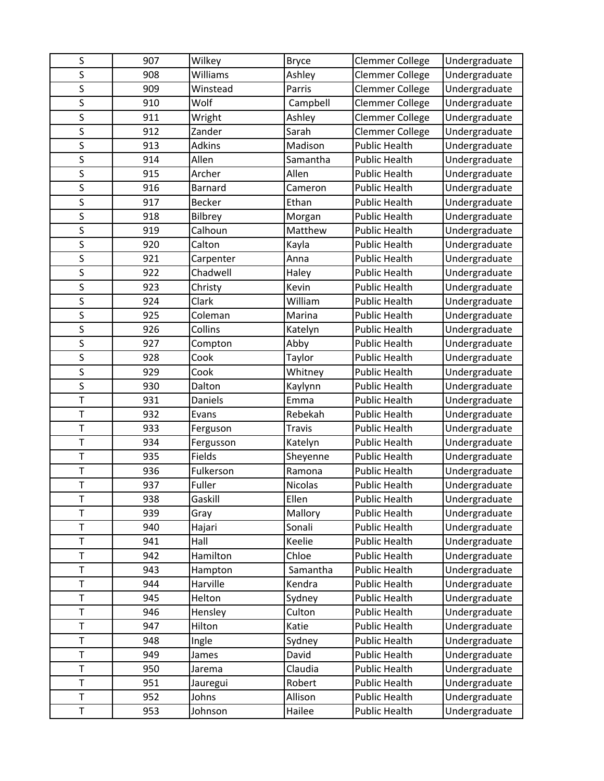| S                       | 907 | Wilkey    | <b>Bryce</b>   | <b>Clemmer College</b> | Undergraduate |
|-------------------------|-----|-----------|----------------|------------------------|---------------|
| S                       | 908 | Williams  | Ashley         | <b>Clemmer College</b> | Undergraduate |
| S                       | 909 | Winstead  | Parris         | <b>Clemmer College</b> | Undergraduate |
| S                       | 910 | Wolf      | Campbell       | <b>Clemmer College</b> | Undergraduate |
| S                       | 911 | Wright    | Ashley         | <b>Clemmer College</b> | Undergraduate |
| S                       | 912 | Zander    | Sarah          | Clemmer College        | Undergraduate |
| S                       | 913 | Adkins    | Madison        | <b>Public Health</b>   | Undergraduate |
| S                       | 914 | Allen     | Samantha       | <b>Public Health</b>   | Undergraduate |
| S                       | 915 | Archer    | Allen          | <b>Public Health</b>   | Undergraduate |
| S                       | 916 | Barnard   | Cameron        | <b>Public Health</b>   | Undergraduate |
| $\overline{\mathsf{S}}$ | 917 | Becker    | Ethan          | <b>Public Health</b>   | Undergraduate |
| S                       | 918 | Bilbrey   | Morgan         | <b>Public Health</b>   | Undergraduate |
| S                       | 919 | Calhoun   | Matthew        | <b>Public Health</b>   | Undergraduate |
| S                       | 920 | Calton    | Kayla          | <b>Public Health</b>   | Undergraduate |
| S                       | 921 | Carpenter | Anna           | <b>Public Health</b>   | Undergraduate |
| $\mathsf S$             | 922 | Chadwell  | Haley          | <b>Public Health</b>   | Undergraduate |
| S                       | 923 | Christy   | Kevin          | <b>Public Health</b>   | Undergraduate |
| $\mathsf S$             | 924 | Clark     | William        | <b>Public Health</b>   | Undergraduate |
| S                       | 925 | Coleman   | Marina         | <b>Public Health</b>   | Undergraduate |
| S                       | 926 | Collins   | Katelyn        | <b>Public Health</b>   | Undergraduate |
| S                       | 927 | Compton   | Abby           | <b>Public Health</b>   | Undergraduate |
| S                       | 928 | Cook      | Taylor         | <b>Public Health</b>   | Undergraduate |
| S                       | 929 | Cook      | Whitney        | <b>Public Health</b>   | Undergraduate |
| S                       | 930 | Dalton    | Kaylynn        | <b>Public Health</b>   | Undergraduate |
| $\bar{T}$               | 931 | Daniels   | Emma           | <b>Public Health</b>   | Undergraduate |
| $\top$                  | 932 | Evans     | Rebekah        | <b>Public Health</b>   | Undergraduate |
| $\mathsf T$             | 933 | Ferguson  | <b>Travis</b>  | <b>Public Health</b>   | Undergraduate |
| $\top$                  | 934 | Fergusson | Katelyn        | <b>Public Health</b>   | Undergraduate |
| $\bar{T}$               | 935 | Fields    | Sheyenne       | <b>Public Health</b>   | Undergraduate |
| $\bar{T}$               | 936 | Fulkerson | Ramona         | <b>Public Health</b>   | Undergraduate |
| $\top$                  | 937 | Fuller    | <b>Nicolas</b> | <b>Public Health</b>   | Undergraduate |
|                         | 938 | Gaskill   | Ellen          | <b>Public Health</b>   | Undergraduate |
| T                       | 939 | Gray      | Mallory        | <b>Public Health</b>   | Undergraduate |
| T                       | 940 | Hajari    | Sonali         | Public Health          | Undergraduate |
| $\mathsf T$             | 941 | Hall      | Keelie         | Public Health          | Undergraduate |
| T                       | 942 | Hamilton  | Chloe          | <b>Public Health</b>   | Undergraduate |
| T                       | 943 | Hampton   | Samantha       | <b>Public Health</b>   | Undergraduate |
| T                       | 944 | Harville  | Kendra         | Public Health          | Undergraduate |
| T                       | 945 | Helton    | Sydney         | Public Health          | Undergraduate |
| T                       | 946 | Hensley   | Culton         | Public Health          | Undergraduate |
| T                       | 947 | Hilton    | Katie          | <b>Public Health</b>   | Undergraduate |
| $\top$                  | 948 | Ingle     | Sydney         | <b>Public Health</b>   | Undergraduate |
| T                       | 949 | James     | David          | Public Health          | Undergraduate |
| $\top$                  | 950 | Jarema    | Claudia        | <b>Public Health</b>   | Undergraduate |
| T                       | 951 | Jauregui  | Robert         | Public Health          | Undergraduate |
| T                       | 952 | Johns     | Allison        | <b>Public Health</b>   | Undergraduate |
| T                       | 953 | Johnson   | Hailee         | Public Health          | Undergraduate |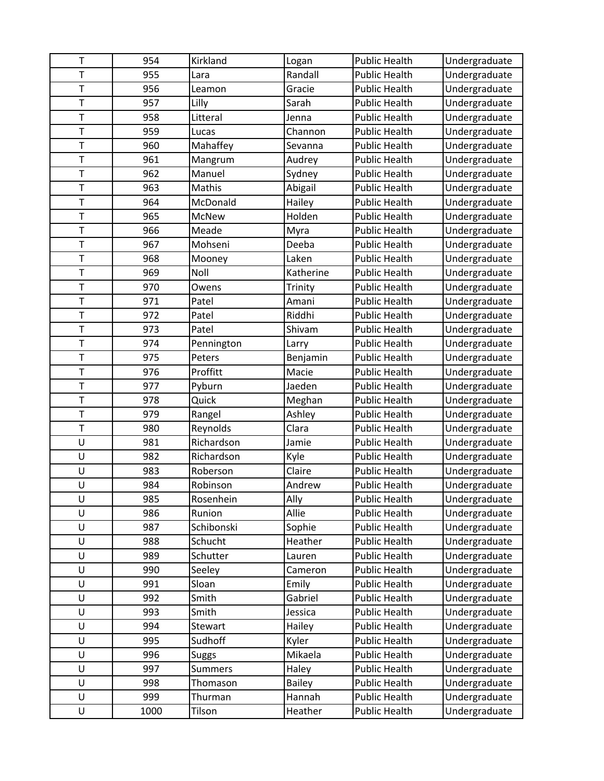| T           | 954  | Kirkland       | Logan         | <b>Public Health</b> | Undergraduate |
|-------------|------|----------------|---------------|----------------------|---------------|
| $\bar{T}$   | 955  | Lara           | Randall       | <b>Public Health</b> | Undergraduate |
| $\top$      | 956  | Leamon         | Gracie        | <b>Public Health</b> | Undergraduate |
| $\top$      | 957  | Lilly          | Sarah         | <b>Public Health</b> | Undergraduate |
| T           | 958  | Litteral       | Jenna         | <b>Public Health</b> | Undergraduate |
| T           | 959  | Lucas          | Channon       | <b>Public Health</b> | Undergraduate |
| T           | 960  | Mahaffey       | Sevanna       | <b>Public Health</b> | Undergraduate |
| $\top$      | 961  | Mangrum        | Audrey        | <b>Public Health</b> | Undergraduate |
| $\top$      | 962  | Manuel         | Sydney        | <b>Public Health</b> | Undergraduate |
| T           | 963  | Mathis         | Abigail       | <b>Public Health</b> | Undergraduate |
| T           | 964  | McDonald       | Hailey        | <b>Public Health</b> | Undergraduate |
| T           | 965  | <b>McNew</b>   | Holden        | <b>Public Health</b> | Undergraduate |
| T           | 966  | Meade          | Myra          | <b>Public Health</b> | Undergraduate |
| T           | 967  | Mohseni        | Deeba         | <b>Public Health</b> | Undergraduate |
| T           | 968  | Mooney         | Laken         | <b>Public Health</b> | Undergraduate |
| T           | 969  | Noll           | Katherine     | <b>Public Health</b> | Undergraduate |
| $\mathsf T$ | 970  | Owens          | Trinity       | <b>Public Health</b> | Undergraduate |
| T           | 971  | Patel          | Amani         | <b>Public Health</b> | Undergraduate |
| $\bar{T}$   | 972  | Patel          | Riddhi        | <b>Public Health</b> | Undergraduate |
| T           | 973  | Patel          | Shivam        | <b>Public Health</b> | Undergraduate |
| T           | 974  | Pennington     | Larry         | <b>Public Health</b> | Undergraduate |
| T           | 975  | Peters         | Benjamin      | <b>Public Health</b> | Undergraduate |
| T           | 976  | Proffitt       | Macie         | <b>Public Health</b> | Undergraduate |
| $\mathsf T$ | 977  | Pyburn         | Jaeden        | Public Health        | Undergraduate |
| $\bar{T}$   | 978  | Quick          | Meghan        | <b>Public Health</b> | Undergraduate |
| $\top$      | 979  | Rangel         | Ashley        | <b>Public Health</b> | Undergraduate |
| $\top$      | 980  | Reynolds       | Clara         | <b>Public Health</b> | Undergraduate |
| U           | 981  | Richardson     | Jamie         | <b>Public Health</b> | Undergraduate |
| U           | 982  | Richardson     | Kyle          | <b>Public Health</b> | Undergraduate |
| U           | 983  | Roberson       | Claire        | <b>Public Health</b> | Undergraduate |
| U           | 984  | Robinson       | Andrew        | <b>Public Health</b> | Undergraduate |
| U           | 985  | Rosenhein      | Ally          | <b>Public Health</b> | Undergraduate |
| U           | 986  | Runion         | Allie         | <b>Public Health</b> | Undergraduate |
| U           | 987  | Schibonski     | Sophie        | Public Health        | Undergraduate |
| U           | 988  | Schucht        | Heather       | Public Health        | Undergraduate |
| U           | 989  | Schutter       | Lauren        | <b>Public Health</b> | Undergraduate |
| U           | 990  | Seeley         | Cameron       | <b>Public Health</b> | Undergraduate |
| U           | 991  | Sloan          | Emily         | Public Health        | Undergraduate |
| U           | 992  | Smith          | Gabriel       | Public Health        | Undergraduate |
| U           | 993  | Smith          | Jessica       | <b>Public Health</b> | Undergraduate |
| U           | 994  | Stewart        | Hailey        | <b>Public Health</b> | Undergraduate |
| U           | 995  | Sudhoff        | Kyler         | Public Health        | Undergraduate |
| U           | 996  | <b>Suggs</b>   | Mikaela       | <b>Public Health</b> | Undergraduate |
| U           | 997  | <b>Summers</b> | Haley         | <b>Public Health</b> | Undergraduate |
| U           | 998  | Thomason       | <b>Bailey</b> | Public Health        | Undergraduate |
| U           | 999  | Thurman        | Hannah        | <b>Public Health</b> | Undergraduate |
| U           | 1000 | Tilson         | Heather       | Public Health        | Undergraduate |